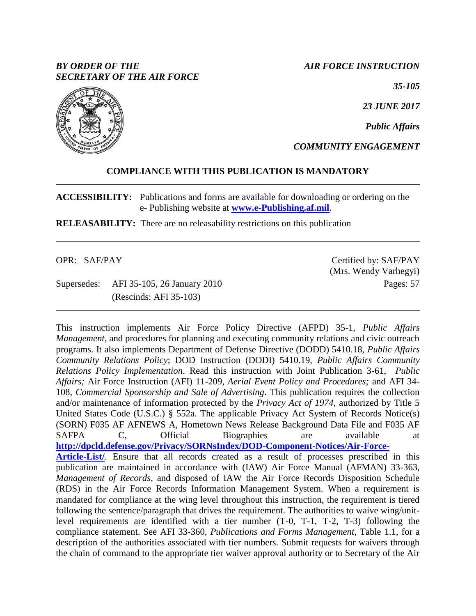## *BY ORDER OF THE SECRETARY OF THE AIR FORCE*

*AIR FORCE INSTRUCTION*

*35-105*

*23 JUNE 2017*

*Public Affairs*

*COMMUNITY ENGAGEMENT*

## **COMPLIANCE WITH THIS PUBLICATION IS MANDATORY**

**ACCESSIBILITY:** Publications and forms are available for downloading or ordering on the e- Publishing website at **[www.e-Publishing.af.mil](http://www.e-publishing.af.mil/)**.

**RELEASABILITY:** There are no releasability restrictions on this publication

OPR: SAF/PAY

Supersedes: AFI 35-105, 26 January 2010 (Rescinds: AFI 35-103)

Certified by: SAF/PAY (Mrs. Wendy Varhegyi) Pages: 57

This instruction implements Air Force Policy Directive (AFPD) 35-1, *Public Affairs Management*, and procedures for planning and executing community relations and civic outreach programs. It also implements Department of Defense Directive (DODD) 5410.18, *Public Affairs Community Relations Policy*; DOD Instruction (DODI) 5410.19, *Public Affairs Community Relations Policy Implementation*. Read this instruction with Joint Publication 3-61, *Public Affairs;* Air Force Instruction (AFI) 11-209, *Aerial Event Policy and Procedures;* and AFI 34- 108*, Commercial Sponsorship and Sale of Advertising*. This publication requires the collection and/or maintenance of information protected by the *Privacy Act of 1974*, authorized by Title 5 United States Code (U.S.C.) § 552a. The applicable Privacy Act System of Records Notice(s) (SORN) F035 AF AFNEWS A, Hometown News Release Background Data File and F035 AF SAFPA C, Official Biographies are available at **[http://dpcld.defense.gov/Privacy/SORNsIndex/DOD-Component-Notices/Air-Force-](http://dpcld.defense.gov/Privacy/SORNsIndex/DOD-Component-Notices/Air-Force-Article-List/)**[Article-List/](http://dpcld.defense.gov/Privacy/SORNsIndex/DOD-Component-Notices/Air-Force-Article-List/). Ensure that all records created as a result of processes prescribed in this publication are maintained in accordance with (IAW) Air Force Manual (AFMAN) 33-363, *Management of Records*, and disposed of IAW the Air Force Records Disposition Schedule (RDS) in the Air Force Records Information Management System. When a requirement is mandated for compliance at the wing level throughout this instruction, the requirement is tiered following the sentence/paragraph that drives the requirement. The authorities to waive wing/unitlevel requirements are identified with a tier number (T-0, T-1, T-2, T-3) following the compliance statement. See AFI 33-360, *Publications and Forms Management*, Table 1.1, for a description of the authorities associated with tier numbers. Submit requests for waivers through the chain of command to the appropriate tier waiver approval authority or to Secretary of the Air

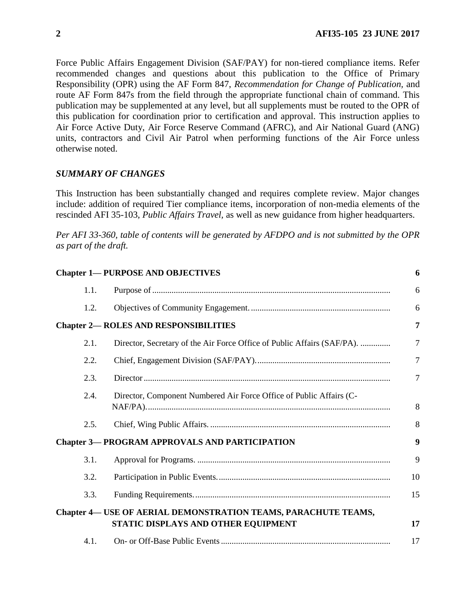Force Public Affairs Engagement Division (SAF/PAY) for non-tiered compliance items. Refer recommended changes and questions about this publication to the Office of Primary Responsibility (OPR) using the AF Form 847, *Recommendation for Change of Publication,* and route AF Form 847s from the field through the appropriate functional chain of command. This publication may be supplemented at any level, but all supplements must be routed to the OPR of this publication for coordination prior to certification and approval. This instruction applies to Air Force Active Duty, Air Force Reserve Command (AFRC), and Air National Guard (ANG) units, contractors and Civil Air Patrol when performing functions of the Air Force unless otherwise noted.

### *SUMMARY OF CHANGES*

This Instruction has been substantially changed and requires complete review. Major changes include: addition of required Tier compliance items, incorporation of non-media elements of the rescinded AFI 35-103, *Public Affairs Travel,* as well as new guidance from higher headquarters.

*Per AFI 33-360, table of contents will be generated by AFDPO and is not submitted by the OPR as part of the draft.*

|      | <b>Chapter 1- PURPOSE AND OBJECTIVES</b>                                                                     | 6              |
|------|--------------------------------------------------------------------------------------------------------------|----------------|
| 1.1. |                                                                                                              | 6              |
| 1.2. |                                                                                                              | 6              |
|      | <b>Chapter 2— ROLES AND RESPONSIBILITIES</b>                                                                 | 7              |
| 2.1. | Director, Secretary of the Air Force Office of Public Affairs (SAF/PA).                                      | $\overline{7}$ |
| 2.2. |                                                                                                              | $\overline{7}$ |
| 2.3. |                                                                                                              | $\overline{7}$ |
| 2.4. | Director, Component Numbered Air Force Office of Public Affairs (C-                                          | 8              |
| 2.5. |                                                                                                              | 8              |
|      | <b>Chapter 3-PROGRAM APPROVALS AND PARTICIPATION</b>                                                         | 9              |
| 3.1. |                                                                                                              | 9              |
| 3.2. |                                                                                                              | 10             |
| 3.3. |                                                                                                              | 15             |
|      | <b>Chapter 4— USE OF AERIAL DEMONSTRATION TEAMS, PARACHUTE TEAMS,</b><br>STATIC DISPLAYS AND OTHER EQUIPMENT | 17             |
| 4.1. |                                                                                                              | 17             |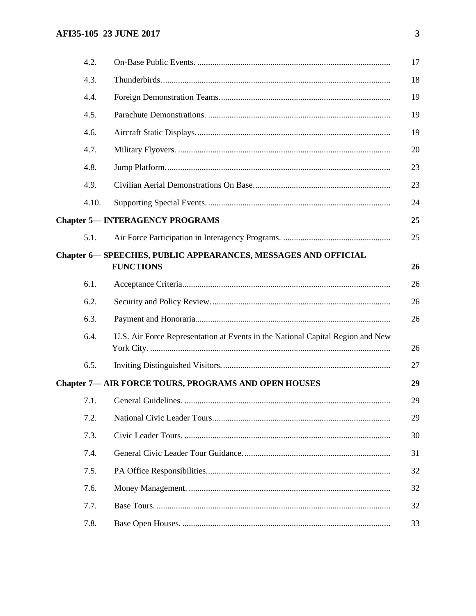| 4.2.  |                                                                                           | 17 |
|-------|-------------------------------------------------------------------------------------------|----|
| 4.3.  |                                                                                           | 18 |
| 4.4.  |                                                                                           | 19 |
| 4.5.  |                                                                                           | 19 |
| 4.6.  |                                                                                           | 19 |
| 4.7.  |                                                                                           | 20 |
| 4.8.  |                                                                                           | 23 |
| 4.9.  |                                                                                           | 23 |
| 4.10. |                                                                                           | 24 |
|       | <b>Chapter 5-INTERAGENCY PROGRAMS</b>                                                     | 25 |
| 5.1.  |                                                                                           | 25 |
|       | <b>Chapter 6— SPEECHES, PUBLIC APPEARANCES, MESSAGES AND OFFICIAL</b><br><b>FUNCTIONS</b> | 26 |
| 6.1.  |                                                                                           | 26 |
| 6.2.  |                                                                                           | 26 |
| 6.3.  |                                                                                           | 26 |
| 6.4.  | U.S. Air Force Representation at Events in the National Capital Region and New            | 26 |
| 6.5.  |                                                                                           | 27 |
|       | <b>Chapter 7- AIR FORCE TOURS, PROGRAMS AND OPEN HOUSES</b>                               | 29 |
| 7.1.  |                                                                                           | 29 |
| 7.2.  |                                                                                           | 29 |
| 7.3.  |                                                                                           | 30 |
| 7.4.  |                                                                                           | 31 |
| 7.5.  |                                                                                           | 32 |
| 7.6.  |                                                                                           | 32 |
| 7.7.  |                                                                                           | 32 |
| 7.8.  |                                                                                           | 33 |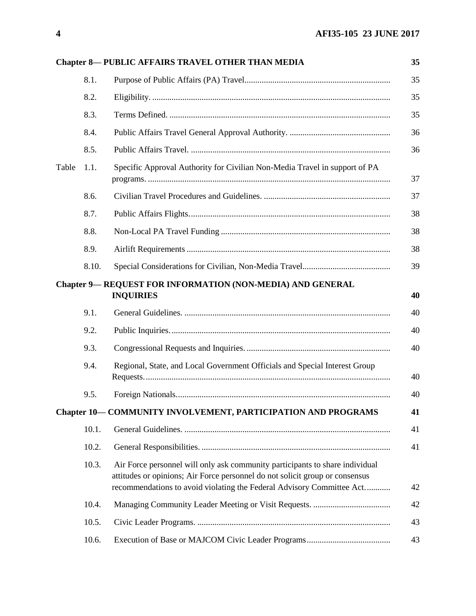|       |       | <b>Chapter 8-PUBLIC AFFAIRS TRAVEL OTHER THAN MEDIA</b>                                                                                                                                                                               | 35 |
|-------|-------|---------------------------------------------------------------------------------------------------------------------------------------------------------------------------------------------------------------------------------------|----|
|       | 8.1.  |                                                                                                                                                                                                                                       | 35 |
|       | 8.2.  |                                                                                                                                                                                                                                       | 35 |
|       | 8.3.  |                                                                                                                                                                                                                                       | 35 |
|       | 8.4.  |                                                                                                                                                                                                                                       | 36 |
|       | 8.5.  |                                                                                                                                                                                                                                       | 36 |
| Table | 1.1.  | Specific Approval Authority for Civilian Non-Media Travel in support of PA                                                                                                                                                            | 37 |
|       | 8.6.  |                                                                                                                                                                                                                                       | 37 |
|       | 8.7.  |                                                                                                                                                                                                                                       | 38 |
|       | 8.8.  |                                                                                                                                                                                                                                       | 38 |
|       | 8.9.  |                                                                                                                                                                                                                                       | 38 |
|       | 8.10. |                                                                                                                                                                                                                                       | 39 |
|       |       | <b>Chapter 9— REQUEST FOR INFORMATION (NON-MEDIA) AND GENERAL</b><br><b>INQUIRIES</b>                                                                                                                                                 | 40 |
|       | 9.1.  |                                                                                                                                                                                                                                       | 40 |
|       | 9.2.  |                                                                                                                                                                                                                                       | 40 |
|       | 9.3.  |                                                                                                                                                                                                                                       | 40 |
|       | 9.4.  | Regional, State, and Local Government Officials and Special Interest Group                                                                                                                                                            | 40 |
|       | 9.5.  |                                                                                                                                                                                                                                       | 40 |
|       |       | Chapter 10-COMMUNITY INVOLVEMENT, PARTICIPATION AND PROGRAMS                                                                                                                                                                          | 41 |
|       | 10.1. |                                                                                                                                                                                                                                       | 41 |
|       | 10.2. |                                                                                                                                                                                                                                       | 41 |
|       | 10.3. | Air Force personnel will only ask community participants to share individual<br>attitudes or opinions; Air Force personnel do not solicit group or consensus<br>recommendations to avoid violating the Federal Advisory Committee Act | 42 |
|       | 10.4. |                                                                                                                                                                                                                                       | 42 |
|       | 10.5. |                                                                                                                                                                                                                                       | 43 |
|       | 10.6. |                                                                                                                                                                                                                                       | 43 |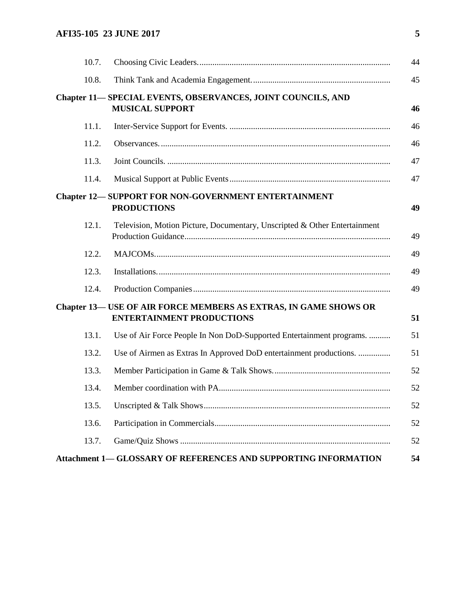| 10.7. |                                                                                                             | 44 |
|-------|-------------------------------------------------------------------------------------------------------------|----|
| 10.8. |                                                                                                             | 45 |
|       | <b>Chapter 11– SPECIAL EVENTS, OBSERVANCES, JOINT COUNCILS, AND</b><br><b>MUSICAL SUPPORT</b>               | 46 |
| 11.1. |                                                                                                             | 46 |
| 11.2. |                                                                                                             | 46 |
| 11.3. |                                                                                                             | 47 |
| 11.4. |                                                                                                             | 47 |
|       | <b>Chapter 12-SUPPORT FOR NON-GOVERNMENT ENTERTAINMENT</b><br><b>PRODUCTIONS</b>                            | 49 |
| 12.1. | Television, Motion Picture, Documentary, Unscripted & Other Entertainment                                   | 49 |
| 12.2. |                                                                                                             | 49 |
| 12.3. |                                                                                                             | 49 |
| 12.4. |                                                                                                             | 49 |
|       | <b>Chapter 13- USE OF AIR FORCE MEMBERS AS EXTRAS, IN GAME SHOWS OR</b><br><b>ENTERTAINMENT PRODUCTIONS</b> | 51 |
| 13.1. | Use of Air Force People In Non DoD-Supported Entertainment programs.                                        | 51 |
| 13.2. | Use of Airmen as Extras In Approved DoD entertainment productions.                                          | 51 |
| 13.3. |                                                                                                             | 52 |
| 13.4. |                                                                                                             | 52 |
| 13.5. |                                                                                                             | 52 |
| 13.6. |                                                                                                             | 52 |
| 13.7. |                                                                                                             | 52 |
|       | Attachment 1-GLOSSARY OF REFERENCES AND SUPPORTING INFORMATION                                              | 54 |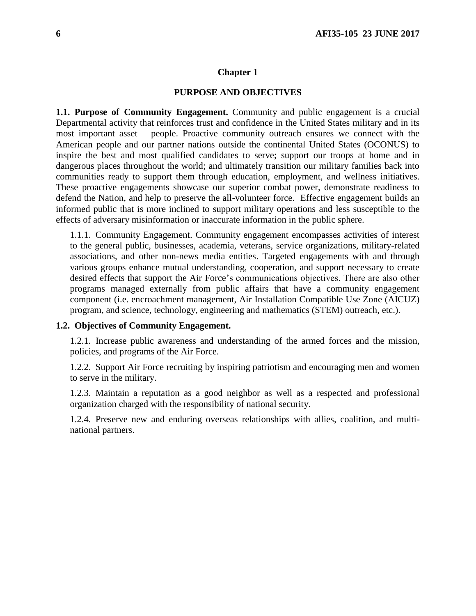### **PURPOSE AND OBJECTIVES**

<span id="page-5-1"></span><span id="page-5-0"></span>**1.1. Purpose of Community Engagement.** Community and public engagement is a crucial Departmental activity that reinforces trust and confidence in the United States military and in its most important asset – people. Proactive community outreach ensures we connect with the American people and our partner nations outside the continental United States (OCONUS) to inspire the best and most qualified candidates to serve; support our troops at home and in dangerous places throughout the world; and ultimately transition our military families back into communities ready to support them through education, employment, and wellness initiatives. These proactive engagements showcase our superior combat power, demonstrate readiness to defend the Nation, and help to preserve the all-volunteer force. Effective engagement builds an informed public that is more inclined to support military operations and less susceptible to the effects of adversary misinformation or inaccurate information in the public sphere.

1.1.1. Community Engagement. Community engagement encompasses activities of interest to the general public, businesses, academia, veterans, service organizations, military-related associations, and other non-news media entities. Targeted engagements with and through various groups enhance mutual understanding, cooperation, and support necessary to create desired effects that support the Air Force's communications objectives. There are also other programs managed externally from public affairs that have a community engagement component (i.e. encroachment management, Air Installation Compatible Use Zone (AICUZ) program, and science, technology, engineering and mathematics (STEM) outreach, etc.).

## <span id="page-5-2"></span>**1.2. Objectives of Community Engagement.**

1.2.1. Increase public awareness and understanding of the armed forces and the mission, policies, and programs of the Air Force.

1.2.2. Support Air Force recruiting by inspiring patriotism and encouraging men and women to serve in the military.

1.2.3. Maintain a reputation as a good neighbor as well as a respected and professional organization charged with the responsibility of national security.

1.2.4. Preserve new and enduring overseas relationships with allies, coalition, and multinational partners.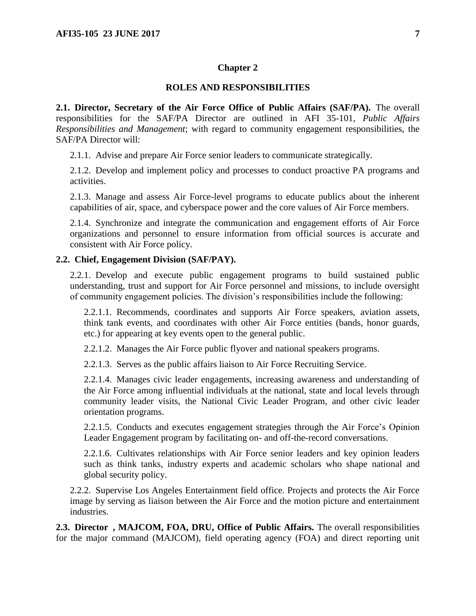## **ROLES AND RESPONSIBILITIES**

<span id="page-6-1"></span><span id="page-6-0"></span>**2.1. Director, Secretary of the Air Force Office of Public Affairs (SAF/PA).** The overall responsibilities for the SAF/PA Director are outlined in AFI 35-101, *Public Affairs Responsibilities and Management*; with regard to community engagement responsibilities, the SAF/PA Director will:

2.1.1. Advise and prepare Air Force senior leaders to communicate strategically.

2.1.2. Develop and implement policy and processes to conduct proactive PA programs and activities.

2.1.3. Manage and assess Air Force-level programs to educate publics about the inherent capabilities of air, space, and cyberspace power and the core values of Air Force members.

2.1.4. Synchronize and integrate the communication and engagement efforts of Air Force organizations and personnel to ensure information from official sources is accurate and consistent with Air Force policy.

### <span id="page-6-2"></span>**2.2. Chief, Engagement Division (SAF/PAY).**

2.2.1. Develop and execute public engagement programs to build sustained public understanding, trust and support for Air Force personnel and missions, to include oversight of community engagement policies. The division's responsibilities include the following:

2.2.1.1. Recommends, coordinates and supports Air Force speakers, aviation assets, think tank events, and coordinates with other Air Force entities (bands, honor guards, etc.) for appearing at key events open to the general public.

2.2.1.2. Manages the Air Force public flyover and national speakers programs.

2.2.1.3. Serves as the public affairs liaison to Air Force Recruiting Service.

2.2.1.4. Manages civic leader engagements, increasing awareness and understanding of the Air Force among influential individuals at the national, state and local levels through community leader visits, the National Civic Leader Program, and other civic leader orientation programs.

2.2.1.5. Conducts and executes engagement strategies through the Air Force's Opinion Leader Engagement program by facilitating on- and off-the-record conversations.

2.2.1.6. Cultivates relationships with Air Force senior leaders and key opinion leaders such as think tanks, industry experts and academic scholars who shape national and global security policy.

2.2.2. Supervise Los Angeles Entertainment field office. Projects and protects the Air Force image by serving as liaison between the Air Force and the motion picture and entertainment industries.

<span id="page-6-3"></span>**2.3. Director , MAJCOM, FOA, DRU, Office of Public Affairs.** The overall responsibilities for the major command (MAJCOM), field operating agency (FOA) and direct reporting unit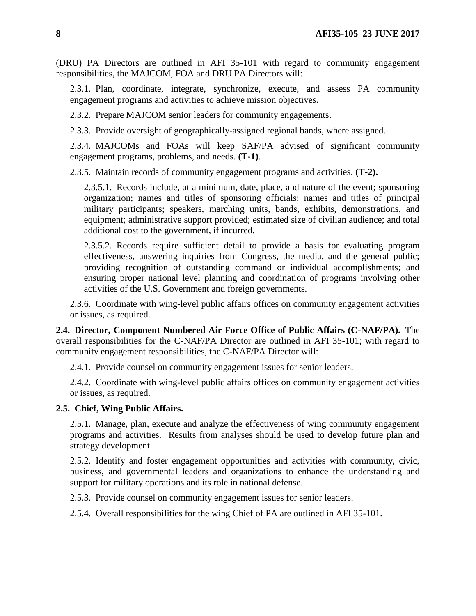(DRU) PA Directors are outlined in AFI 35-101 with regard to community engagement responsibilities, the MAJCOM, FOA and DRU PA Directors will:

2.3.1. Plan, coordinate, integrate, synchronize, execute, and assess PA community engagement programs and activities to achieve mission objectives.

2.3.2. Prepare MAJCOM senior leaders for community engagements.

2.3.3. Provide oversight of geographically-assigned regional bands, where assigned.

2.3.4. MAJCOMs and FOAs will keep SAF/PA advised of significant community engagement programs, problems, and needs. **(T-1)**.

2.3.5. Maintain records of community engagement programs and activities. **(T-2).**

2.3.5.1. Records include, at a minimum, date, place, and nature of the event; sponsoring organization; names and titles of sponsoring officials; names and titles of principal military participants; speakers, marching units, bands, exhibits, demonstrations, and equipment; administrative support provided; estimated size of civilian audience; and total additional cost to the government, if incurred.

2.3.5.2. Records require sufficient detail to provide a basis for evaluating program effectiveness, answering inquiries from Congress, the media, and the general public; providing recognition of outstanding command or individual accomplishments; and ensuring proper national level planning and coordination of programs involving other activities of the U.S. Government and foreign governments.

2.3.6. Coordinate with wing-level public affairs offices on community engagement activities or issues, as required.

<span id="page-7-0"></span>**2.4. Director, Component Numbered Air Force Office of Public Affairs (C-NAF/PA).** The overall responsibilities for the C-NAF/PA Director are outlined in AFI 35-101; with regard to community engagement responsibilities, the C-NAF/PA Director will:

2.4.1. Provide counsel on community engagement issues for senior leaders.

2.4.2. Coordinate with wing-level public affairs offices on community engagement activities or issues, as required.

### <span id="page-7-1"></span>**2.5. Chief, Wing Public Affairs.**

2.5.1. Manage, plan, execute and analyze the effectiveness of wing community engagement programs and activities. Results from analyses should be used to develop future plan and strategy development.

2.5.2. Identify and foster engagement opportunities and activities with community, civic, business, and governmental leaders and organizations to enhance the understanding and support for military operations and its role in national defense.

2.5.3. Provide counsel on community engagement issues for senior leaders.

2.5.4. Overall responsibilities for the wing Chief of PA are outlined in AFI 35-101.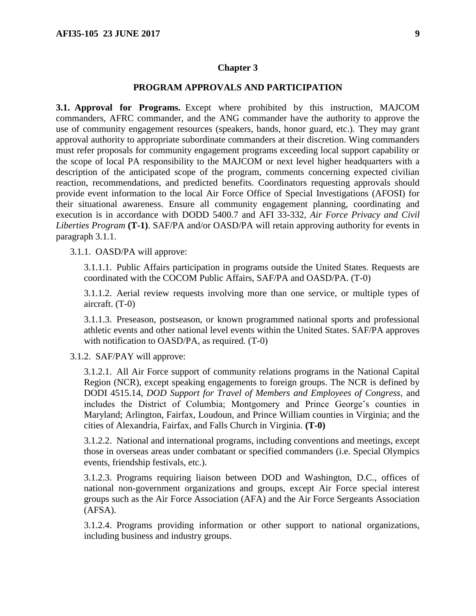#### **PROGRAM APPROVALS AND PARTICIPATION**

<span id="page-8-1"></span><span id="page-8-0"></span>**3.1. Approval for Programs.** Except where prohibited by this instruction, MAJCOM commanders, AFRC commander, and the ANG commander have the authority to approve the use of community engagement resources (speakers, bands, honor guard, etc.). They may grant approval authority to appropriate subordinate commanders at their discretion. Wing commanders must refer proposals for community engagement programs exceeding local support capability or the scope of local PA responsibility to the MAJCOM or next level higher headquarters with a description of the anticipated scope of the program, comments concerning expected civilian reaction, recommendations, and predicted benefits. Coordinators requesting approvals should provide event information to the local Air Force Office of Special Investigations (AFOSI) for their situational awareness. Ensure all community engagement planning, coordinating and execution is in accordance with DODD 5400.7 and AFI 33-332, *Air Force Privacy and Civil Liberties Program* **(T-1)**. SAF/PA and/or OASD/PA will retain approving authority for events in paragraph 3.1.1.

3.1.1. OASD/PA will approve:

3.1.1.1. Public Affairs participation in programs outside the United States. Requests are coordinated with the COCOM Public Affairs, SAF/PA and OASD/PA. (T-0)

3.1.1.2. Aerial review requests involving more than one service, or multiple types of aircraft. (T-0)

3.1.1.3. Preseason, postseason, or known programmed national sports and professional athletic events and other national level events within the United States. SAF/PA approves with notification to OASD/PA, as required. (T-0)

3.1.2. SAF/PAY will approve:

3.1.2.1. All Air Force support of community relations programs in the National Capital Region (NCR), except speaking engagements to foreign groups. The NCR is defined by DODI 4515.14, *DOD Support for Travel of Members and Employees of Congress,* and includes the District of Columbia; Montgomery and Prince George's counties in Maryland; Arlington, Fairfax, Loudoun, and Prince William counties in Virginia; and the cities of Alexandria, Fairfax, and Falls Church in Virginia. **(T-0)**

3.1.2.2. National and international programs, including conventions and meetings, except those in overseas areas under combatant or specified commanders (i.e. Special Olympics events, friendship festivals, etc.).

3.1.2.3. Programs requiring liaison between DOD and Washington, D.C., offices of national non-government organizations and groups, except Air Force special interest groups such as the Air Force Association (AFA) and the Air Force Sergeants Association (AFSA).

3.1.2.4. Programs providing information or other support to national organizations, including business and industry groups.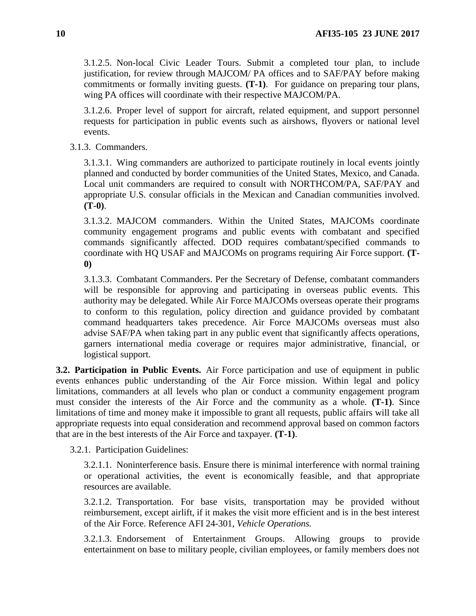3.1.2.5. Non-local Civic Leader Tours. Submit a completed tour plan, to include justification, for review through MAJCOM/ PA offices and to SAF/PAY before making commitments or formally inviting guests. **(T-1)**. For guidance on preparing tour plans, wing PA offices will coordinate with their respective MAJCOM/PA.

3.1.2.6. Proper level of support for aircraft, related equipment, and support personnel requests for participation in public events such as airshows, flyovers or national level events.

3.1.3. Commanders.

3.1.3.1. Wing commanders are authorized to participate routinely in local events jointly planned and conducted by border communities of the United States, Mexico, and Canada. Local unit commanders are required to consult with NORTHCOM/PA, SAF/PAY and appropriate U.S. consular officials in the Mexican and Canadian communities involved. **(T-0)**.

3.1.3.2. MAJCOM commanders. Within the United States, MAJCOMs coordinate community engagement programs and public events with combatant and specified commands significantly affected. DOD requires combatant/specified commands to coordinate with HQ USAF and MAJCOMs on programs requiring Air Force support. **(T-0)**

3.1.3.3. Combatant Commanders. Per the Secretary of Defense, combatant commanders will be responsible for approving and participating in overseas public events. This authority may be delegated. While Air Force MAJCOMs overseas operate their programs to conform to this regulation, policy direction and guidance provided by combatant command headquarters takes precedence. Air Force MAJCOMs overseas must also advise SAF/PA when taking part in any public event that significantly affects operations, garners international media coverage or requires major administrative, financial, or logistical support.

<span id="page-9-0"></span>**3.2. Participation in Public Events.** Air Force participation and use of equipment in public events enhances public understanding of the Air Force mission. Within legal and policy limitations, commanders at all levels who plan or conduct a community engagement program must consider the interests of the Air Force and the community as a whole. **(T-1)**. Since limitations of time and money make it impossible to grant all requests, public affairs will take all appropriate requests into equal consideration and recommend approval based on common factors that are in the best interests of the Air Force and taxpayer. **(T-1)**.

3.2.1. Participation Guidelines:

3.2.1.1. Noninterference basis. Ensure there is minimal interference with normal training or operational activities, the event is economically feasible, and that appropriate resources are available.

3.2.1.2. Transportation. For base visits, transportation may be provided without reimbursement, except airlift, if it makes the visit more efficient and is in the best interest of the Air Force. Reference AFI 24-301, *Vehicle Operations.*

3.2.1.3. Endorsement of Entertainment Groups. Allowing groups to provide entertainment on base to military people, civilian employees, or family members does not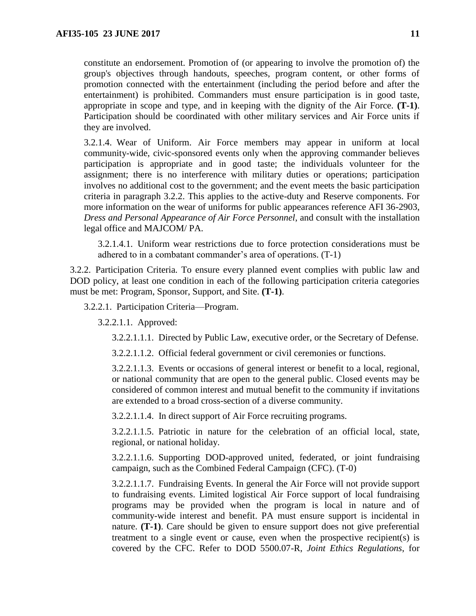constitute an endorsement. Promotion of (or appearing to involve the promotion of) the group's objectives through handouts, speeches, program content, or other forms of promotion connected with the entertainment (including the period before and after the entertainment) is prohibited. Commanders must ensure participation is in good taste, appropriate in scope and type, and in keeping with the dignity of the Air Force. **(T-1)**. Participation should be coordinated with other military services and Air Force units if they are involved.

3.2.1.4. Wear of Uniform. Air Force members may appear in uniform at local community-wide, civic-sponsored events only when the approving commander believes participation is appropriate and in good taste; the individuals volunteer for the assignment; there is no interference with military duties or operations; participation involves no additional cost to the government; and the event meets the basic participation criteria in paragraph 3.2.2. This applies to the active-duty and Reserve components. For more information on the wear of uniforms for public appearances reference AFI 36-2903, *Dress and Personal Appearance of Air Force Personnel*, and consult with the installation legal office and MAJCOM/ PA.

3.2.1.4.1. Uniform wear restrictions due to force protection considerations must be adhered to in a combatant commander's area of operations. (T-1)

3.2.2. Participation Criteria. To ensure every planned event complies with public law and DOD policy, at least one condition in each of the following participation criteria categories must be met: Program, Sponsor, Support, and Site. **(T-1)**.

3.2.2.1. Participation Criteria—Program.

3.2.2.1.1. Approved:

3.2.2.1.1.1. Directed by Public Law, executive order, or the Secretary of Defense.

3.2.2.1.1.2. Official federal government or civil ceremonies or functions.

3.2.2.1.1.3. Events or occasions of general interest or benefit to a local, regional, or national community that are open to the general public. Closed events may be considered of common interest and mutual benefit to the community if invitations are extended to a broad cross-section of a diverse community.

3.2.2.1.1.4. In direct support of Air Force recruiting programs.

3.2.2.1.1.5. Patriotic in nature for the celebration of an official local, state, regional, or national holiday.

3.2.2.1.1.6. Supporting DOD-approved united, federated, or joint fundraising campaign, such as the Combined Federal Campaign (CFC). (T-0)

3.2.2.1.1.7. Fundraising Events. In general the Air Force will not provide support to fundraising events. Limited logistical Air Force support of local fundraising programs may be provided when the program is local in nature and of community-wide interest and benefit. PA must ensure support is incidental in nature. **(T-1)**. Care should be given to ensure support does not give preferential treatment to a single event or cause, even when the prospective recipient(s) is covered by the CFC. Refer to DOD 5500.07-R, *Joint Ethics Regulations*, for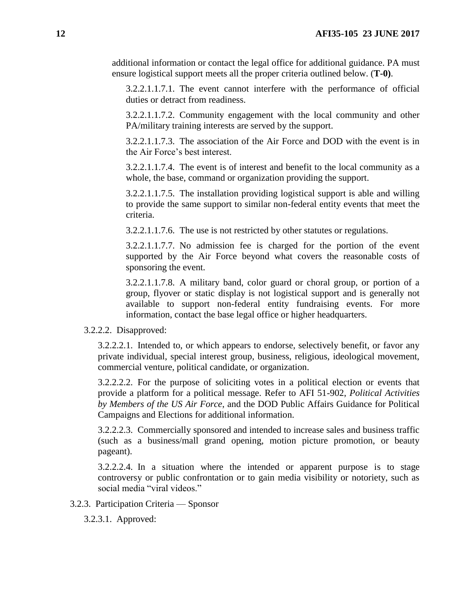additional information or contact the legal office for additional guidance. PA must ensure logistical support meets all the proper criteria outlined below. (**T-0)**.

3.2.2.1.1.7.1. The event cannot interfere with the performance of official duties or detract from readiness.

3.2.2.1.1.7.2. Community engagement with the local community and other PA/military training interests are served by the support.

3.2.2.1.1.7.3. The association of the Air Force and DOD with the event is in the Air Force's best interest.

3.2.2.1.1.7.4. The event is of interest and benefit to the local community as a whole, the base, command or organization providing the support.

3.2.2.1.1.7.5. The installation providing logistical support is able and willing to provide the same support to similar non-federal entity events that meet the criteria.

3.2.2.1.1.7.6. The use is not restricted by other statutes or regulations.

3.2.2.1.1.7.7. No admission fee is charged for the portion of the event supported by the Air Force beyond what covers the reasonable costs of sponsoring the event.

3.2.2.1.1.7.8. A military band, color guard or choral group, or portion of a group, flyover or static display is not logistical support and is generally not available to support non-federal entity fundraising events. For more information, contact the base legal office or higher headquarters.

3.2.2.2. Disapproved:

3.2.2.2.1. Intended to, or which appears to endorse, selectively benefit, or favor any private individual, special interest group, business, religious, ideological movement, commercial venture, political candidate, or organization.

3.2.2.2.2. For the purpose of soliciting votes in a political election or events that provide a platform for a political message. Refer to AFI 51-902, *Political Activities by Members of the US Air Force*, and the DOD Public Affairs Guidance for Political Campaigns and Elections for additional information.

3.2.2.2.3. Commercially sponsored and intended to increase sales and business traffic (such as a business/mall grand opening, motion picture promotion, or beauty pageant).

3.2.2.2.4. In a situation where the intended or apparent purpose is to stage controversy or public confrontation or to gain media visibility or notoriety, such as social media "viral videos."

3.2.3. Participation Criteria — Sponsor

3.2.3.1. Approved: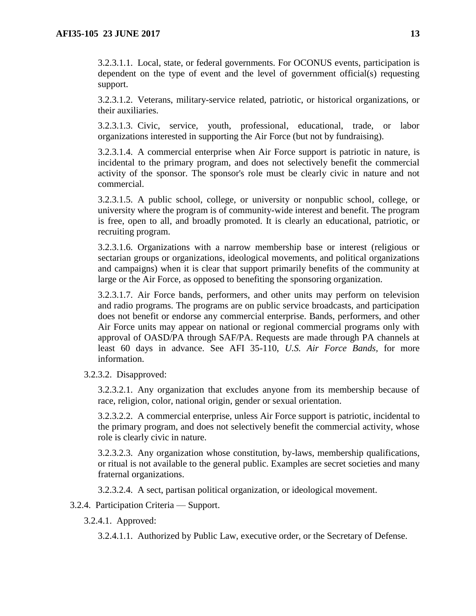3.2.3.1.1. Local, state, or federal governments. For OCONUS events, participation is dependent on the type of event and the level of government official(s) requesting support.

3.2.3.1.2. Veterans, military-service related, patriotic, or historical organizations, or their auxiliaries.

3.2.3.1.3. Civic, service, youth, professional, educational, trade, or labor organizations interested in supporting the Air Force (but not by fundraising).

3.2.3.1.4. A commercial enterprise when Air Force support is patriotic in nature, is incidental to the primary program, and does not selectively benefit the commercial activity of the sponsor. The sponsor's role must be clearly civic in nature and not commercial.

3.2.3.1.5. A public school, college, or university or nonpublic school, college, or university where the program is of community-wide interest and benefit. The program is free, open to all, and broadly promoted. It is clearly an educational, patriotic, or recruiting program.

3.2.3.1.6. Organizations with a narrow membership base or interest (religious or sectarian groups or organizations, ideological movements, and political organizations and campaigns) when it is clear that support primarily benefits of the community at large or the Air Force, as opposed to benefiting the sponsoring organization.

3.2.3.1.7. Air Force bands, performers, and other units may perform on television and radio programs. The programs are on public service broadcasts, and participation does not benefit or endorse any commercial enterprise. Bands, performers, and other Air Force units may appear on national or regional commercial programs only with approval of OASD/PA through SAF/PA. Requests are made through PA channels at least 60 days in advance. See AFI 35-110, *U.S. Air Force Bands,* for more information.

3.2.3.2. Disapproved:

3.2.3.2.1. Any organization that excludes anyone from its membership because of race, religion, color, national origin, gender or sexual orientation.

3.2.3.2.2. A commercial enterprise, unless Air Force support is patriotic, incidental to the primary program, and does not selectively benefit the commercial activity, whose role is clearly civic in nature.

3.2.3.2.3. Any organization whose constitution, by-laws, membership qualifications, or ritual is not available to the general public. Examples are secret societies and many fraternal organizations.

3.2.3.2.4. A sect, partisan political organization, or ideological movement.

3.2.4. Participation Criteria — Support.

3.2.4.1. Approved:

3.2.4.1.1. Authorized by Public Law, executive order, or the Secretary of Defense.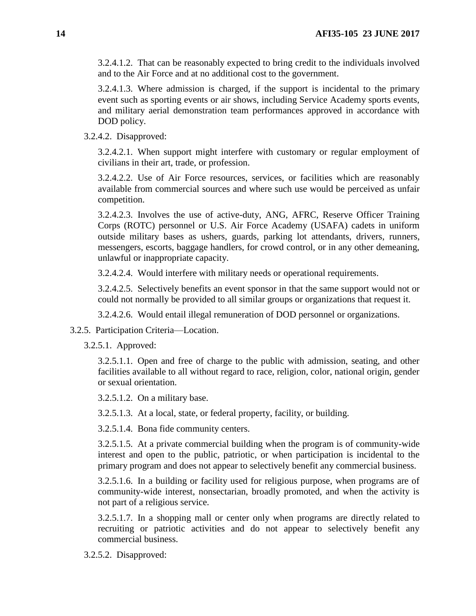3.2.4.1.2. That can be reasonably expected to bring credit to the individuals involved and to the Air Force and at no additional cost to the government.

3.2.4.1.3. Where admission is charged, if the support is incidental to the primary event such as sporting events or air shows, including Service Academy sports events, and military aerial demonstration team performances approved in accordance with DOD policy.

3.2.4.2. Disapproved:

3.2.4.2.1. When support might interfere with customary or regular employment of civilians in their art, trade, or profession.

3.2.4.2.2. Use of Air Force resources, services, or facilities which are reasonably available from commercial sources and where such use would be perceived as unfair competition.

3.2.4.2.3. Involves the use of active-duty, ANG, AFRC, Reserve Officer Training Corps (ROTC) personnel or U.S. Air Force Academy (USAFA) cadets in uniform outside military bases as ushers, guards, parking lot attendants, drivers, runners, messengers, escorts, baggage handlers, for crowd control, or in any other demeaning, unlawful or inappropriate capacity.

3.2.4.2.4. Would interfere with military needs or operational requirements.

3.2.4.2.5. Selectively benefits an event sponsor in that the same support would not or could not normally be provided to all similar groups or organizations that request it.

3.2.4.2.6. Would entail illegal remuneration of DOD personnel or organizations.

3.2.5. Participation Criteria—Location.

3.2.5.1. Approved:

3.2.5.1.1. Open and free of charge to the public with admission, seating, and other facilities available to all without regard to race, religion, color, national origin, gender or sexual orientation.

3.2.5.1.2. On a military base.

3.2.5.1.3. At a local, state, or federal property, facility, or building.

3.2.5.1.4. Bona fide community centers.

3.2.5.1.5. At a private commercial building when the program is of community-wide interest and open to the public, patriotic, or when participation is incidental to the primary program and does not appear to selectively benefit any commercial business.

3.2.5.1.6. In a building or facility used for religious purpose, when programs are of community-wide interest, nonsectarian, broadly promoted, and when the activity is not part of a religious service.

3.2.5.1.7. In a shopping mall or center only when programs are directly related to recruiting or patriotic activities and do not appear to selectively benefit any commercial business.

3.2.5.2. Disapproved: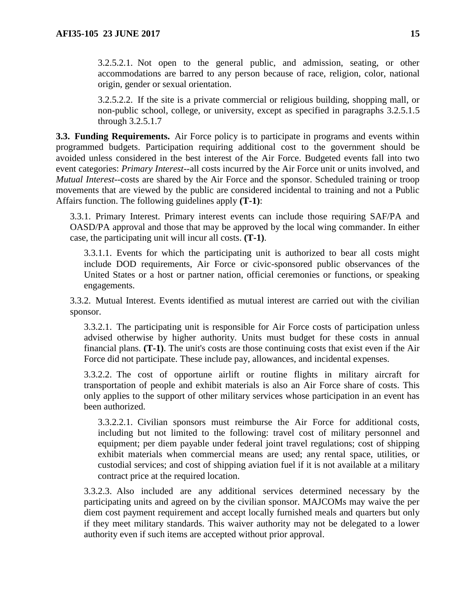3.2.5.2.1. Not open to the general public, and admission, seating, or other accommodations are barred to any person because of race, religion, color, national origin, gender or sexual orientation.

3.2.5.2.2. If the site is a private commercial or religious building, shopping mall, or non-public school, college, or university, except as specified in paragraphs 3.2.5.1.5 through 3.2.5.1.7

<span id="page-14-0"></span>**3.3. Funding Requirements.** Air Force policy is to participate in programs and events within programmed budgets. Participation requiring additional cost to the government should be avoided unless considered in the best interest of the Air Force. Budgeted events fall into two event categories: *Primary Interest--*all costs incurred by the Air Force unit or units involved, and *Mutual Interest--*costs are shared by the Air Force and the sponsor. Scheduled training or troop movements that are viewed by the public are considered incidental to training and not a Public Affairs function. The following guidelines apply **(T-1)**:

3.3.1. Primary Interest. Primary interest events can include those requiring SAF/PA and OASD/PA approval and those that may be approved by the local wing commander. In either case, the participating unit will incur all costs. **(T-1)**.

3.3.1.1. Events for which the participating unit is authorized to bear all costs might include DOD requirements, Air Force or civic-sponsored public observances of the United States or a host or partner nation, official ceremonies or functions, or speaking engagements.

3.3.2. Mutual Interest. Events identified as mutual interest are carried out with the civilian sponsor.

3.3.2.1. The participating unit is responsible for Air Force costs of participation unless advised otherwise by higher authority. Units must budget for these costs in annual financial plans. **(T-1)**. The unit's costs are those continuing costs that exist even if the Air Force did not participate. These include pay, allowances, and incidental expenses.

3.3.2.2. The cost of opportune airlift or routine flights in military aircraft for transportation of people and exhibit materials is also an Air Force share of costs. This only applies to the support of other military services whose participation in an event has been authorized.

3.3.2.2.1. Civilian sponsors must reimburse the Air Force for additional costs, including but not limited to the following: travel cost of military personnel and equipment; per diem payable under federal joint travel regulations; cost of shipping exhibit materials when commercial means are used; any rental space, utilities, or custodial services; and cost of shipping aviation fuel if it is not available at a military contract price at the required location.

3.3.2.3. Also included are any additional services determined necessary by the participating units and agreed on by the civilian sponsor. MAJCOMs may waive the per diem cost payment requirement and accept locally furnished meals and quarters but only if they meet military standards. This waiver authority may not be delegated to a lower authority even if such items are accepted without prior approval.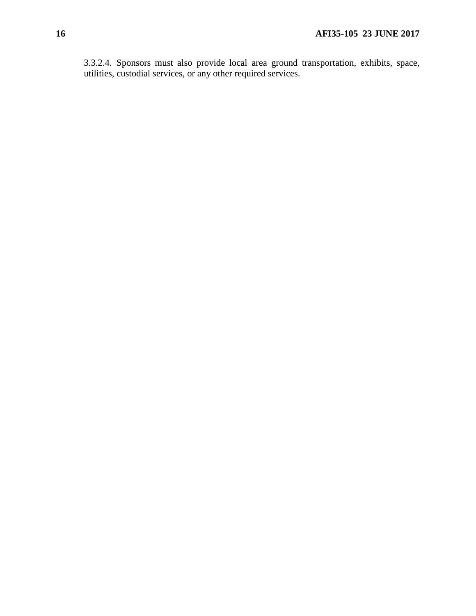3.3.2.4. Sponsors must also provide local area ground transportation, exhibits, space, utilities, custodial services, or any other required services.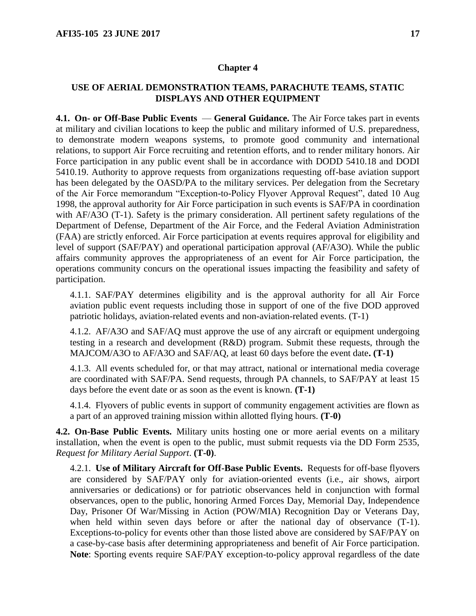## <span id="page-16-0"></span>**USE OF AERIAL DEMONSTRATION TEAMS, PARACHUTE TEAMS, STATIC DISPLAYS AND OTHER EQUIPMENT**

<span id="page-16-1"></span>**4.1. On- or Off-Base Public Events** — **General Guidance.** The Air Force takes part in events at military and civilian locations to keep the public and military informed of U.S. preparedness, to demonstrate modern weapons systems, to promote good community and international relations, to support Air Force recruiting and retention efforts, and to render military honors. Air Force participation in any public event shall be in accordance with DODD 5410.18 and DODI 5410.19. Authority to approve requests from organizations requesting off-base aviation support has been delegated by the OASD/PA to the military services. Per delegation from the Secretary of the Air Force memorandum "Exception-to-Policy Flyover Approval Request", dated 10 Aug 1998, the approval authority for Air Force participation in such events is SAF/PA in coordination with AF/A3O (T-1). Safety is the primary consideration. All pertinent safety regulations of the Department of Defense, Department of the Air Force, and the Federal Aviation Administration (FAA) are strictly enforced. Air Force participation at events requires approval for eligibility and level of support (SAF/PAY) and operational participation approval (AF/A3O). While the public affairs community approves the appropriateness of an event for Air Force participation, the operations community concurs on the operational issues impacting the feasibility and safety of participation.

4.1.1. SAF/PAY determines eligibility and is the approval authority for all Air Force aviation public event requests including those in support of one of the five DOD approved patriotic holidays, aviation-related events and non-aviation-related events. (T-1)

4.1.2. AF/A3O and SAF/AQ must approve the use of any aircraft or equipment undergoing testing in a research and development (R&D) program. Submit these requests, through the MAJCOM/A3O to AF/A3O and SAF/AQ, at least 60 days before the event date**. (T-1)**

4.1.3. All events scheduled for, or that may attract, national or international media coverage are coordinated with SAF/PA. Send requests, through PA channels, to SAF/PAY at least 15 days before the event date or as soon as the event is known. **(T-1)**

4.1.4. Flyovers of public events in support of community engagement activities are flown as a part of an approved training mission within allotted flying hours. **(T-0)**

<span id="page-16-2"></span>**4.2. On-Base Public Events.** Military units hosting one or more aerial events on a military installation, when the event is open to the public, must submit requests via the DD Form 2535, *Request for Military Aerial Support*. **(T-0)**.

4.2.1. **Use of Military Aircraft for Off-Base Public Events.** Requests for off-base flyovers are considered by SAF/PAY only for aviation-oriented events (i.e., air shows, airport anniversaries or dedications) or for patriotic observances held in conjunction with formal observances, open to the public, honoring Armed Forces Day, Memorial Day, Independence Day, Prisoner Of War/Missing in Action (POW/MIA) Recognition Day or Veterans Day, when held within seven days before or after the national day of observance (T-1). Exceptions-to-policy for events other than those listed above are considered by SAF/PAY on a case-by-case basis after determining appropriateness and benefit of Air Force participation. **Note**: Sporting events require SAF/PAY exception-to-policy approval regardless of the date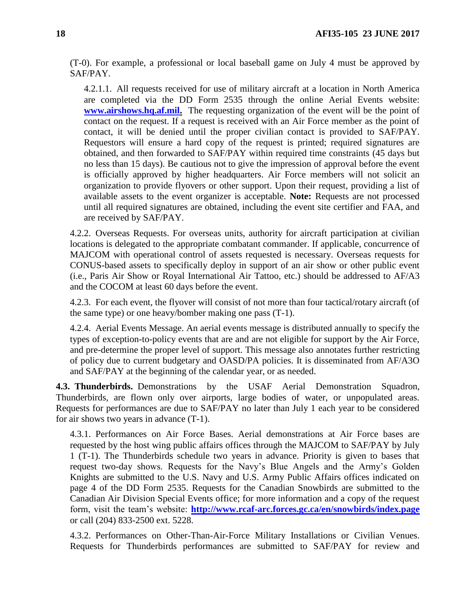(T-0). For example, a professional or local baseball game on July 4 must be approved by SAF/PAY.

4.2.1.1. All requests received for use of military aircraft at a location in North America are completed via the DD Form 2535 through the online Aerial Events website: **[www.airshows.hq.af.mil.](http://www.airshows.hq.af.mil/)** The requesting organization of the event will be the point of contact on the request. If a request is received with an Air Force member as the point of contact, it will be denied until the proper civilian contact is provided to SAF/PAY. Requestors will ensure a hard copy of the request is printed; required signatures are obtained, and then forwarded to SAF/PAY within required time constraints (45 days but no less than 15 days). Be cautious not to give the impression of approval before the event is officially approved by higher headquarters. Air Force members will not solicit an organization to provide flyovers or other support. Upon their request, providing a list of available assets to the event organizer is acceptable. **Note:** Requests are not processed until all required signatures are obtained, including the event site certifier and FAA, and are received by SAF/PAY.

4.2.2. Overseas Requests. For overseas units, authority for aircraft participation at civilian locations is delegated to the appropriate combatant commander. If applicable, concurrence of MAJCOM with operational control of assets requested is necessary. Overseas requests for CONUS-based assets to specifically deploy in support of an air show or other public event (i.e., Paris Air Show or Royal International Air Tattoo, etc.) should be addressed to AF/A3 and the COCOM at least 60 days before the event.

4.2.3. For each event, the flyover will consist of not more than four tactical/rotary aircraft (of the same type) or one heavy/bomber making one pass (T-1).

4.2.4. Aerial Events Message. An aerial events message is distributed annually to specify the types of exception-to-policy events that are and are not eligible for support by the Air Force, and pre-determine the proper level of support. This message also annotates further restricting of policy due to current budgetary and OASD/PA policies. It is disseminated from AF/A3O and SAF/PAY at the beginning of the calendar year, or as needed.

<span id="page-17-0"></span>**4.3. Thunderbirds.** Demonstrations by the USAF Aerial Demonstration Squadron, Thunderbirds, are flown only over airports, large bodies of water, or unpopulated areas. Requests for performances are due to SAF/PAY no later than July 1 each year to be considered for air shows two years in advance (T-1).

4.3.1. Performances on Air Force Bases. Aerial demonstrations at Air Force bases are requested by the host wing public affairs offices through the MAJCOM to SAF/PAY by July 1 (T-1). The Thunderbirds schedule two years in advance. Priority is given to bases that request two-day shows. Requests for the Navy's Blue Angels and the Army's Golden Knights are submitted to the U.S. Navy and U.S. Army Public Affairs offices indicated on page 4 of the DD Form 2535. Requests for the Canadian Snowbirds are submitted to the Canadian Air Division Special Events office; for more information and a copy of the request form, visit the team's website: **<http://www.rcaf-arc.forces.gc.ca/en/snowbirds/index.page>** or call (204) 833-2500 ext. 5228.

4.3.2. Performances on Other-Than-Air-Force Military Installations or Civilian Venues. Requests for Thunderbirds performances are submitted to SAF/PAY for review and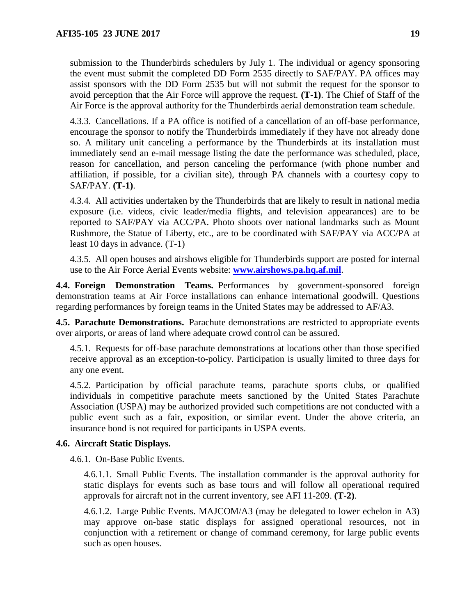submission to the Thunderbirds schedulers by July 1. The individual or agency sponsoring the event must submit the completed DD Form 2535 directly to SAF/PAY. PA offices may assist sponsors with the DD Form 2535 but will not submit the request for the sponsor to avoid perception that the Air Force will approve the request. **(T-1)**. The Chief of Staff of the Air Force is the approval authority for the Thunderbirds aerial demonstration team schedule.

4.3.3. Cancellations. If a PA office is notified of a cancellation of an off-base performance, encourage the sponsor to notify the Thunderbirds immediately if they have not already done so. A military unit canceling a performance by the Thunderbirds at its installation must immediately send an e-mail message listing the date the performance was scheduled, place, reason for cancellation, and person canceling the performance (with phone number and affiliation, if possible, for a civilian site), through PA channels with a courtesy copy to SAF/PAY. **(T-1)**.

4.3.4. All activities undertaken by the Thunderbirds that are likely to result in national media exposure (i.e. videos, civic leader/media flights, and television appearances) are to be reported to SAF/PAY via ACC/PA. Photo shoots over national landmarks such as Mount Rushmore, the Statue of Liberty, etc., are to be coordinated with SAF/PAY via ACC/PA at least 10 days in advance. (T-1)

4.3.5. All open houses and airshows eligible for Thunderbirds support are posted for internal use to the Air Force Aerial Events website: **[www.airshows.pa.hq.af.mil](http://www.airshows.pa.hq.af.mil/)**.

<span id="page-18-0"></span>**4.4. Foreign Demonstration Teams.** Performances by government-sponsored foreign demonstration teams at Air Force installations can enhance international goodwill. Questions regarding performances by foreign teams in the United States may be addressed to AF/A3.

<span id="page-18-1"></span>**4.5. Parachute Demonstrations.** Parachute demonstrations are restricted to appropriate events over airports, or areas of land where adequate crowd control can be assured.

4.5.1. Requests for off-base parachute demonstrations at locations other than those specified receive approval as an exception-to-policy. Participation is usually limited to three days for any one event.

4.5.2. Participation by official parachute teams, parachute sports clubs, or qualified individuals in competitive parachute meets sanctioned by the United States Parachute Association (USPA) may be authorized provided such competitions are not conducted with a public event such as a fair, exposition, or similar event. Under the above criteria, an insurance bond is not required for participants in USPA events.

## <span id="page-18-2"></span>**4.6. Aircraft Static Displays.**

4.6.1. On-Base Public Events.

4.6.1.1. Small Public Events. The installation commander is the approval authority for static displays for events such as base tours and will follow all operational required approvals for aircraft not in the current inventory, see AFI 11-209. **(T-2)**.

4.6.1.2. Large Public Events. MAJCOM/A3 (may be delegated to lower echelon in A3) may approve on-base static displays for assigned operational resources, not in conjunction with a retirement or change of command ceremony, for large public events such as open houses.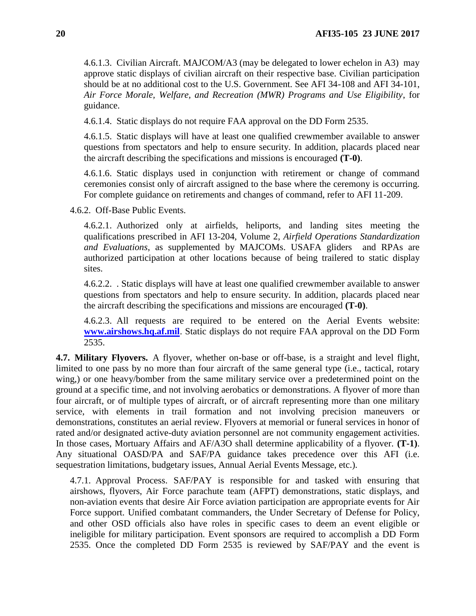4.6.1.3. Civilian Aircraft. MAJCOM/A3 (may be delegated to lower echelon in A3) may approve static displays of civilian aircraft on their respective base. Civilian participation should be at no additional cost to the U.S. Government. See AFI 34-108 and AFI 34-101, *Air Force Morale, Welfare, and Recreation (MWR) Programs and Use Eligibility*, for guidance.

4.6.1.4. Static displays do not require FAA approval on the DD Form 2535.

4.6.1.5. Static displays will have at least one qualified crewmember available to answer questions from spectators and help to ensure security. In addition, placards placed near the aircraft describing the specifications and missions is encouraged **(T-0)**.

4.6.1.6. Static displays used in conjunction with retirement or change of command ceremonies consist only of aircraft assigned to the base where the ceremony is occurring. For complete guidance on retirements and changes of command, refer to AFI 11-209.

4.6.2. Off-Base Public Events.

4.6.2.1. Authorized only at airfields, heliports, and landing sites meeting the qualifications prescribed in AFI 13-204, Volume 2, *Airfield Operations Standardization and Evaluations*, as supplemented by MAJCOMs. USAFA gliders and RPAs are authorized participation at other locations because of being trailered to static display sites.

4.6.2.2. . Static displays will have at least one qualified crewmember available to answer questions from spectators and help to ensure security. In addition, placards placed near the aircraft describing the specifications and missions are encouraged **(T-0)**.

4.6.2.3. All requests are required to be entered on the Aerial Events website: **[www.airshows.hq.af.mil](http://www.airshows.hq.af.mil/)**. Static displays do not require FAA approval on the DD Form 2535.

<span id="page-19-0"></span>**4.7. Military Flyovers.** A flyover, whether on-base or off-base, is a straight and level flight, limited to one pass by no more than four aircraft of the same general type (i.e., tactical, rotary wing,) or one heavy/bomber from the same military service over a predetermined point on the ground at a specific time, and not involving aerobatics or demonstrations. A flyover of more than four aircraft, or of multiple types of aircraft, or of aircraft representing more than one military service, with elements in trail formation and not involving precision maneuvers or demonstrations, constitutes an aerial review. Flyovers at memorial or funeral services in honor of rated and/or designated active-duty aviation personnel are not community engagement activities. In those cases, Mortuary Affairs and AF/A3O shall determine applicability of a flyover. **(T-1)**. Any situational OASD/PA and SAF/PA guidance takes precedence over this AFI (i.e. sequestration limitations, budgetary issues, Annual Aerial Events Message, etc.).

4.7.1. Approval Process. SAF/PAY is responsible for and tasked with ensuring that airshows, flyovers, Air Force parachute team (AFPT) demonstrations, static displays, and non-aviation events that desire Air Force aviation participation are appropriate events for Air Force support. Unified combatant commanders, the Under Secretary of Defense for Policy, and other OSD officials also have roles in specific cases to deem an event eligible or ineligible for military participation. Event sponsors are required to accomplish a DD Form 2535. Once the completed DD Form 2535 is reviewed by SAF/PAY and the event is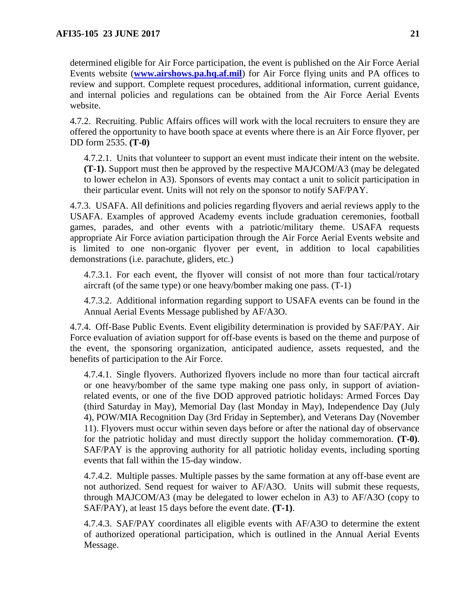determined eligible for Air Force participation, the event is published on the Air Force Aerial Events website (**[www.airshows.pa.hq.af.mil](http://www.airshows.pa.hq.af.mil/)**) for Air Force flying units and PA offices to review and support. Complete request procedures, additional information, current guidance, and internal policies and regulations can be obtained from the Air Force Aerial Events website.

4.7.2. Recruiting. Public Affairs offices will work with the local recruiters to ensure they are offered the opportunity to have booth space at events where there is an Air Force flyover, per DD form 2535. **(T-0)**

4.7.2.1. Units that volunteer to support an event must indicate their intent on the website. **(T-1)**. Support must then be approved by the respective MAJCOM/A3 (may be delegated to lower echelon in A3). Sponsors of events may contact a unit to solicit participation in their particular event. Units will not rely on the sponsor to notify SAF/PAY.

4.7.3. USAFA. All definitions and policies regarding flyovers and aerial reviews apply to the USAFA. Examples of approved Academy events include graduation ceremonies, football games, parades, and other events with a patriotic/military theme. USAFA requests appropriate Air Force aviation participation through the Air Force Aerial Events website and is limited to one non-organic flyover per event, in addition to local capabilities demonstrations (i.e. parachute, gliders, etc.)

4.7.3.1. For each event, the flyover will consist of not more than four tactical/rotary aircraft (of the same type) or one heavy/bomber making one pass. (T-1)

4.7.3.2. Additional information regarding support to USAFA events can be found in the Annual Aerial Events Message published by AF/A3O.

4.7.4. Off-Base Public Events. Event eligibility determination is provided by SAF/PAY. Air Force evaluation of aviation support for off-base events is based on the theme and purpose of the event, the sponsoring organization, anticipated audience, assets requested, and the benefits of participation to the Air Force.

4.7.4.1. Single flyovers. Authorized flyovers include no more than four tactical aircraft or one heavy/bomber of the same type making one pass only, in support of aviationrelated events, or one of the five DOD approved patriotic holidays: Armed Forces Day (third Saturday in May), Memorial Day (last Monday in May), Independence Day (July 4), POW/MIA Recognition Day (3rd Friday in September), and Veterans Day (November 11). Flyovers must occur within seven days before or after the national day of observance for the patriotic holiday and must directly support the holiday commemoration. **(T-0)**. SAF/PAY is the approving authority for all patriotic holiday events, including sporting events that fall within the 15-day window.

4.7.4.2. Multiple passes. Multiple passes by the same formation at any off-base event are not authorized. Send request for waiver to AF/A3O. Units will submit these requests, through MAJCOM/A3 (may be delegated to lower echelon in A3) to AF/A3O (copy to SAF/PAY), at least 15 days before the event date. **(T-1)**.

4.7.4.3. SAF/PAY coordinates all eligible events with AF/A3O to determine the extent of authorized operational participation, which is outlined in the Annual Aerial Events Message.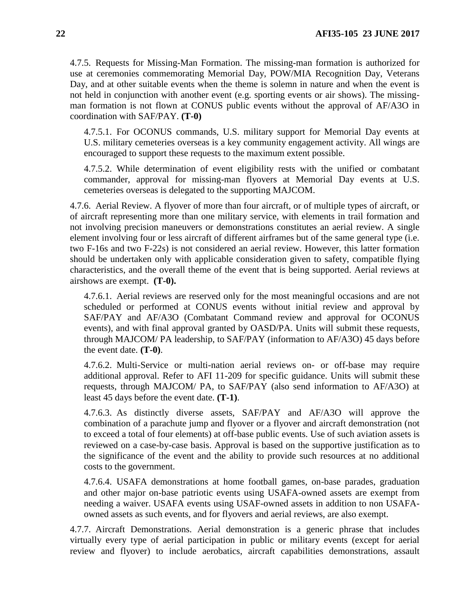4.7.5. Requests for Missing-Man Formation. The missing-man formation is authorized for use at ceremonies commemorating Memorial Day, POW/MIA Recognition Day, Veterans Day, and at other suitable events when the theme is solemn in nature and when the event is not held in conjunction with another event (e.g. sporting events or air shows). The missingman formation is not flown at CONUS public events without the approval of AF/A3O in coordination with SAF/PAY. **(T-0)**

4.7.5.1. For OCONUS commands, U.S. military support for Memorial Day events at U.S. military cemeteries overseas is a key community engagement activity. All wings are encouraged to support these requests to the maximum extent possible.

4.7.5.2. While determination of event eligibility rests with the unified or combatant commander, approval for missing-man flyovers at Memorial Day events at U.S. cemeteries overseas is delegated to the supporting MAJCOM.

4.7.6. Aerial Review. A flyover of more than four aircraft, or of multiple types of aircraft, or of aircraft representing more than one military service, with elements in trail formation and not involving precision maneuvers or demonstrations constitutes an aerial review. A single element involving four or less aircraft of different airframes but of the same general type (i.e. two F-16s and two F-22s) is not considered an aerial review. However, this latter formation should be undertaken only with applicable consideration given to safety, compatible flying characteristics, and the overall theme of the event that is being supported. Aerial reviews at airshows are exempt. **(T-0).**

4.7.6.1. Aerial reviews are reserved only for the most meaningful occasions and are not scheduled or performed at CONUS events without initial review and approval by SAF/PAY and AF/A3O (Combatant Command review and approval for OCONUS events), and with final approval granted by OASD/PA. Units will submit these requests, through MAJCOM/ PA leadership, to SAF/PAY (information to AF/A3O) 45 days before the event date. **(T-0)**.

4.7.6.2. Multi-Service or multi-nation aerial reviews on- or off-base may require additional approval. Refer to AFI 11-209 for specific guidance. Units will submit these requests, through MAJCOM/ PA, to SAF/PAY (also send information to AF/A3O) at least 45 days before the event date. **(T-1)**.

4.7.6.3. As distinctly diverse assets, SAF/PAY and AF/A3O will approve the combination of a parachute jump and flyover or a flyover and aircraft demonstration (not to exceed a total of four elements) at off-base public events. Use of such aviation assets is reviewed on a case-by-case basis. Approval is based on the supportive justification as to the significance of the event and the ability to provide such resources at no additional costs to the government.

4.7.6.4. USAFA demonstrations at home football games, on-base parades, graduation and other major on-base patriotic events using USAFA-owned assets are exempt from needing a waiver. USAFA events using USAF-owned assets in addition to non USAFAowned assets as such events, and for flyovers and aerial reviews, are also exempt.

4.7.7. Aircraft Demonstrations. Aerial demonstration is a generic phrase that includes virtually every type of aerial participation in public or military events (except for aerial review and flyover) to include aerobatics, aircraft capabilities demonstrations, assault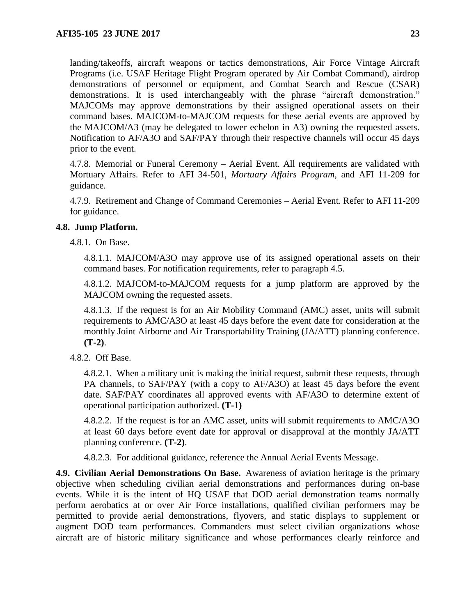landing/takeoffs, aircraft weapons or tactics demonstrations, Air Force Vintage Aircraft Programs (i.e. USAF Heritage Flight Program operated by Air Combat Command), airdrop demonstrations of personnel or equipment, and Combat Search and Rescue (CSAR) demonstrations. It is used interchangeably with the phrase "aircraft demonstration." MAJCOMs may approve demonstrations by their assigned operational assets on their command bases. MAJCOM-to-MAJCOM requests for these aerial events are approved by the MAJCOM/A3 (may be delegated to lower echelon in A3) owning the requested assets. Notification to AF/A3O and SAF/PAY through their respective channels will occur 45 days prior to the event.

4.7.8. Memorial or Funeral Ceremony – Aerial Event. All requirements are validated with Mortuary Affairs. Refer to AFI 34-501, *Mortuary Affairs Program,* and AFI 11-209 for guidance.

4.7.9. Retirement and Change of Command Ceremonies – Aerial Event. Refer to AFI 11-209 for guidance.

## <span id="page-22-0"></span>**4.8. Jump Platform.**

4.8.1. On Base.

4.8.1.1. MAJCOM/A3O may approve use of its assigned operational assets on their command bases. For notification requirements, refer to paragraph 4.5.

4.8.1.2. MAJCOM-to-MAJCOM requests for a jump platform are approved by the MAJCOM owning the requested assets.

4.8.1.3. If the request is for an Air Mobility Command (AMC) asset, units will submit requirements to AMC/A3O at least 45 days before the event date for consideration at the monthly Joint Airborne and Air Transportability Training (JA/ATT) planning conference. **(T-2)**.

4.8.2. Off Base.

4.8.2.1. When a military unit is making the initial request, submit these requests, through PA channels, to SAF/PAY (with a copy to AF/A3O) at least 45 days before the event date. SAF/PAY coordinates all approved events with AF/A3O to determine extent of operational participation authorized. **(T-1)**

4.8.2.2. If the request is for an AMC asset, units will submit requirements to AMC/A3O at least 60 days before event date for approval or disapproval at the monthly JA/ATT planning conference. **(T-2)**.

4.8.2.3. For additional guidance, reference the Annual Aerial Events Message.

<span id="page-22-1"></span>**4.9. Civilian Aerial Demonstrations On Base.** Awareness of aviation heritage is the primary objective when scheduling civilian aerial demonstrations and performances during on-base events. While it is the intent of HQ USAF that DOD aerial demonstration teams normally perform aerobatics at or over Air Force installations, qualified civilian performers may be permitted to provide aerial demonstrations, flyovers, and static displays to supplement or augment DOD team performances. Commanders must select civilian organizations whose aircraft are of historic military significance and whose performances clearly reinforce and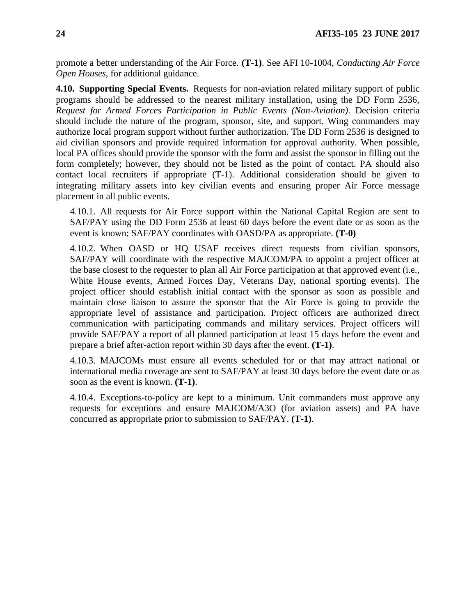promote a better understanding of the Air Force. **(T-1)**. See AFI 10-1004, *Conducting Air Force Open Houses*, for additional guidance.

<span id="page-23-0"></span>**4.10. Supporting Special Events.** Requests for non-aviation related military support of public programs should be addressed to the nearest military installation, using the DD Form 2536, *Request for Armed Forces Participation in Public Events (Non-Aviation)*. Decision criteria should include the nature of the program, sponsor, site, and support. Wing commanders may authorize local program support without further authorization. The DD Form 2536 is designed to aid civilian sponsors and provide required information for approval authority. When possible, local PA offices should provide the sponsor with the form and assist the sponsor in filling out the form completely; however, they should not be listed as the point of contact. PA should also contact local recruiters if appropriate (T-1). Additional consideration should be given to integrating military assets into key civilian events and ensuring proper Air Force message placement in all public events.

4.10.1. All requests for Air Force support within the National Capital Region are sent to SAF/PAY using the DD Form 2536 at least 60 days before the event date or as soon as the event is known; SAF/PAY coordinates with OASD/PA as appropriate. **(T-0)**

4.10.2. When OASD or HQ USAF receives direct requests from civilian sponsors, SAF/PAY will coordinate with the respective MAJCOM/PA to appoint a project officer at the base closest to the requester to plan all Air Force participation at that approved event (i.e., White House events, Armed Forces Day, Veterans Day, national sporting events). The project officer should establish initial contact with the sponsor as soon as possible and maintain close liaison to assure the sponsor that the Air Force is going to provide the appropriate level of assistance and participation. Project officers are authorized direct communication with participating commands and military services. Project officers will provide SAF/PAY a report of all planned participation at least 15 days before the event and prepare a brief after-action report within 30 days after the event. **(T-1)**.

4.10.3. MAJCOMs must ensure all events scheduled for or that may attract national or international media coverage are sent to SAF/PAY at least 30 days before the event date or as soon as the event is known. **(T-1)**.

4.10.4. Exceptions-to-policy are kept to a minimum. Unit commanders must approve any requests for exceptions and ensure MAJCOM/A3O (for aviation assets) and PA have concurred as appropriate prior to submission to SAF/PAY. **(T-1)**.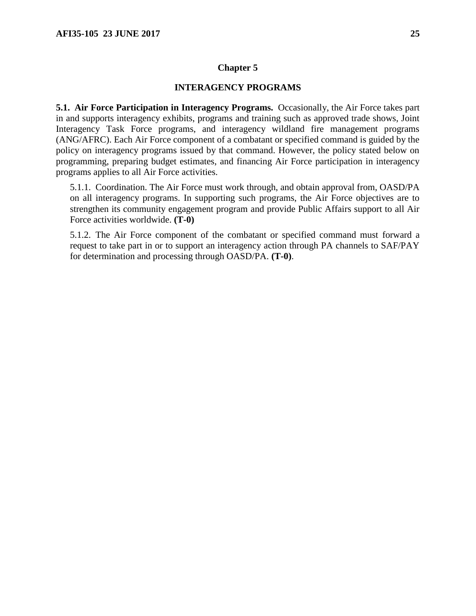### **INTERAGENCY PROGRAMS**

<span id="page-24-1"></span><span id="page-24-0"></span>**5.1. Air Force Participation in Interagency Programs.** Occasionally, the Air Force takes part in and supports interagency exhibits, programs and training such as approved trade shows, Joint Interagency Task Force programs, and interagency wildland fire management programs (ANG/AFRC). Each Air Force component of a combatant or specified command is guided by the policy on interagency programs issued by that command. However, the policy stated below on programming, preparing budget estimates, and financing Air Force participation in interagency programs applies to all Air Force activities.

5.1.1. Coordination. The Air Force must work through, and obtain approval from, OASD/PA on all interagency programs. In supporting such programs, the Air Force objectives are to strengthen its community engagement program and provide Public Affairs support to all Air Force activities worldwide. **(T-0)**

5.1.2. The Air Force component of the combatant or specified command must forward a request to take part in or to support an interagency action through PA channels to SAF/PAY for determination and processing through OASD/PA. **(T-0)**.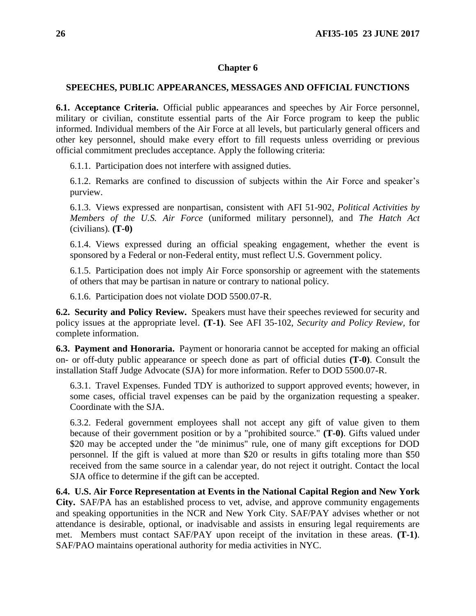### <span id="page-25-0"></span>**SPEECHES, PUBLIC APPEARANCES, MESSAGES AND OFFICIAL FUNCTIONS**

<span id="page-25-1"></span>**6.1. Acceptance Criteria.** Official public appearances and speeches by Air Force personnel, military or civilian, constitute essential parts of the Air Force program to keep the public informed. Individual members of the Air Force at all levels, but particularly general officers and other key personnel, should make every effort to fill requests unless overriding or previous official commitment precludes acceptance. Apply the following criteria:

6.1.1. Participation does not interfere with assigned duties.

6.1.2. Remarks are confined to discussion of subjects within the Air Force and speaker's purview.

6.1.3. Views expressed are nonpartisan, consistent with AFI 51-902, *Political Activities by Members of the U.S. Air Force* (uniformed military personnel), and *The Hatch Act*  (civilians)*.* **(T-0)**

6.1.4. Views expressed during an official speaking engagement, whether the event is sponsored by a Federal or non-Federal entity, must reflect U.S. Government policy.

6.1.5. Participation does not imply Air Force sponsorship or agreement with the statements of others that may be partisan in nature or contrary to national policy.

6.1.6. Participation does not violate DOD 5500.07-R.

<span id="page-25-2"></span>**6.2. Security and Policy Review.** Speakers must have their speeches reviewed for security and policy issues at the appropriate level. **(T-1)**. See AFI 35-102, *Security and Policy Review,* for complete information.

<span id="page-25-3"></span>**6.3. Payment and Honoraria.** Payment or honoraria cannot be accepted for making an official on- or off-duty public appearance or speech done as part of official duties **(T-0)**. Consult the installation Staff Judge Advocate (SJA) for more information. Refer to DOD 5500.07-R.

6.3.1. Travel Expenses. Funded TDY is authorized to support approved events; however, in some cases, official travel expenses can be paid by the organization requesting a speaker. Coordinate with the SJA.

6.3.2. Federal government employees shall not accept any gift of value given to them because of their government position or by a "prohibited source." **(T-0)**. Gifts valued under \$20 may be accepted under the "de minimus" rule, one of many gift exceptions for DOD personnel. If the gift is valued at more than \$20 or results in gifts totaling more than \$50 received from the same source in a calendar year, do not reject it outright. Contact the local SJA office to determine if the gift can be accepted.

<span id="page-25-4"></span>**6.4. U.S. Air Force Representation at Events in the National Capital Region and New York City.** SAF/PA has an established process to vet, advise, and approve community engagements and speaking opportunities in the NCR and New York City. SAF/PAY advises whether or not attendance is desirable, optional, or inadvisable and assists in ensuring legal requirements are met. Members must contact SAF/PAY upon receipt of the invitation in these areas. **(T-1)**. SAF/PAO maintains operational authority for media activities in NYC.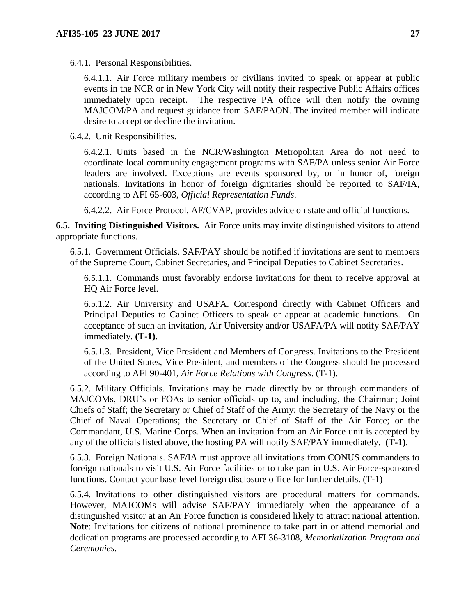6.4.1. Personal Responsibilities.

6.4.1.1. Air Force military members or civilians invited to speak or appear at public events in the NCR or in New York City will notify their respective Public Affairs offices immediately upon receipt. The respective PA office will then notify the owning MAJCOM/PA and request guidance from SAF/PAON. The invited member will indicate desire to accept or decline the invitation.

6.4.2. Unit Responsibilities.

6.4.2.1. Units based in the NCR/Washington Metropolitan Area do not need to coordinate local community engagement programs with SAF/PA unless senior Air Force leaders are involved. Exceptions are events sponsored by, or in honor of, foreign nationals. Invitations in honor of foreign dignitaries should be reported to SAF/IA, according to AFI 65-603, *Official Representation Funds*.

6.4.2.2. Air Force Protocol, AF/CVAP, provides advice on state and official functions.

<span id="page-26-0"></span>**6.5. Inviting Distinguished Visitors.** Air Force units may invite distinguished visitors to attend appropriate functions.

6.5.1. Government Officials. SAF/PAY should be notified if invitations are sent to members of the Supreme Court, Cabinet Secretaries, and Principal Deputies to Cabinet Secretaries.

6.5.1.1. Commands must favorably endorse invitations for them to receive approval at HQ Air Force level.

6.5.1.2. Air University and USAFA. Correspond directly with Cabinet Officers and Principal Deputies to Cabinet Officers to speak or appear at academic functions. On acceptance of such an invitation, Air University and/or USAFA/PA will notify SAF/PAY immediately. **(T-1)**.

6.5.1.3. President, Vice President and Members of Congress. Invitations to the President of the United States, Vice President, and members of the Congress should be processed according to AFI 90-401, *Air Force Relations with Congress*. (T-1).

6.5.2. Military Officials. Invitations may be made directly by or through commanders of MAJCOMs, DRU's or FOAs to senior officials up to, and including, the Chairman; Joint Chiefs of Staff; the Secretary or Chief of Staff of the Army; the Secretary of the Navy or the Chief of Naval Operations; the Secretary or Chief of Staff of the Air Force; or the Commandant, U.S. Marine Corps. When an invitation from an Air Force unit is accepted by any of the officials listed above, the hosting PA will notify SAF/PAY immediately. **(T-1)**.

6.5.3. Foreign Nationals. SAF/IA must approve all invitations from CONUS commanders to foreign nationals to visit U.S. Air Force facilities or to take part in U.S. Air Force-sponsored functions. Contact your base level foreign disclosure office for further details. (T-1)

6.5.4. Invitations to other distinguished visitors are procedural matters for commands. However, MAJCOMs will advise SAF/PAY immediately when the appearance of a distinguished visitor at an Air Force function is considered likely to attract national attention. **Note**: Invitations for citizens of national prominence to take part in or attend memorial and dedication programs are processed according to AFI 36-3108, *Memorialization Program and Ceremonies*.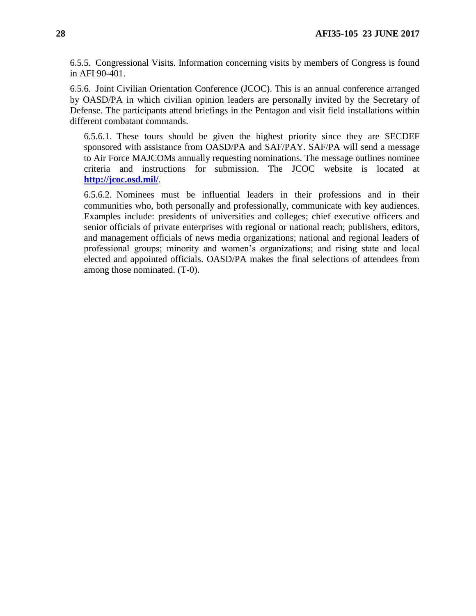6.5.5. Congressional Visits. Information concerning visits by members of Congress is found in AFI 90-401.

6.5.6. Joint Civilian Orientation Conference (JCOC). This is an annual conference arranged by OASD/PA in which civilian opinion leaders are personally invited by the Secretary of Defense. The participants attend briefings in the Pentagon and visit field installations within different combatant commands.

6.5.6.1. These tours should be given the highest priority since they are SECDEF sponsored with assistance from OASD/PA and SAF/PAY. SAF/PA will send a message to Air Force MAJCOMs annually requesting nominations. The message outlines nominee criteria and instructions for submission. The JCOC website is located at **<http://jcoc.osd.mil/>**.

6.5.6.2. Nominees must be influential leaders in their professions and in their communities who, both personally and professionally, communicate with key audiences. Examples include: presidents of universities and colleges; chief executive officers and senior officials of private enterprises with regional or national reach; publishers, editors, and management officials of news media organizations; national and regional leaders of professional groups; minority and women's organizations; and rising state and local elected and appointed officials. OASD/PA makes the final selections of attendees from among those nominated. (T-0).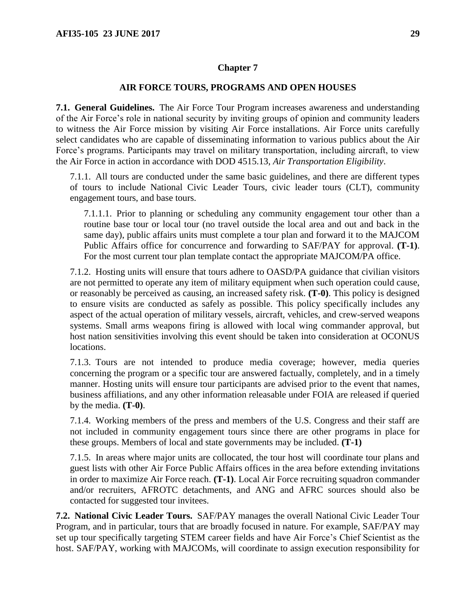### **AIR FORCE TOURS, PROGRAMS AND OPEN HOUSES**

<span id="page-28-1"></span><span id="page-28-0"></span>**7.1. General Guidelines.** The Air Force Tour Program increases awareness and understanding of the Air Force's role in national security by inviting groups of opinion and community leaders to witness the Air Force mission by visiting Air Force installations. Air Force units carefully select candidates who are capable of disseminating information to various publics about the Air Force's programs. Participants may travel on military transportation, including aircraft, to view the Air Force in action in accordance with DOD 4515.13, *Air Transportation Eligibility*.

7.1.1. All tours are conducted under the same basic guidelines, and there are different types of tours to include National Civic Leader Tours, civic leader tours (CLT), community engagement tours, and base tours.

7.1.1.1. Prior to planning or scheduling any community engagement tour other than a routine base tour or local tour (no travel outside the local area and out and back in the same day), public affairs units must complete a tour plan and forward it to the MAJCOM Public Affairs office for concurrence and forwarding to SAF/PAY for approval. **(T-1)**. For the most current tour plan template contact the appropriate MAJCOM/PA office.

7.1.2. Hosting units will ensure that tours adhere to OASD/PA guidance that civilian visitors are not permitted to operate any item of military equipment when such operation could cause, or reasonably be perceived as causing, an increased safety risk. **(T-0)**. This policy is designed to ensure visits are conducted as safely as possible. This policy specifically includes any aspect of the actual operation of military vessels, aircraft, vehicles, and crew-served weapons systems. Small arms weapons firing is allowed with local wing commander approval, but host nation sensitivities involving this event should be taken into consideration at OCONUS locations.

7.1.3. Tours are not intended to produce media coverage; however, media queries concerning the program or a specific tour are answered factually, completely, and in a timely manner. Hosting units will ensure tour participants are advised prior to the event that names, business affiliations, and any other information releasable under FOIA are released if queried by the media. **(T-0)**.

7.1.4. Working members of the press and members of the U.S. Congress and their staff are not included in community engagement tours since there are other programs in place for these groups. Members of local and state governments may be included. **(T-1)**

7.1.5. In areas where major units are collocated, the tour host will coordinate tour plans and guest lists with other Air Force Public Affairs offices in the area before extending invitations in order to maximize Air Force reach. **(T-1)**. Local Air Force recruiting squadron commander and/or recruiters, AFROTC detachments, and ANG and AFRC sources should also be contacted for suggested tour invitees.

<span id="page-28-2"></span>**7.2. National Civic Leader Tours.** SAF/PAY manages the overall National Civic Leader Tour Program, and in particular, tours that are broadly focused in nature. For example, SAF/PAY may set up tour specifically targeting STEM career fields and have Air Force's Chief Scientist as the host. SAF/PAY, working with MAJCOMs, will coordinate to assign execution responsibility for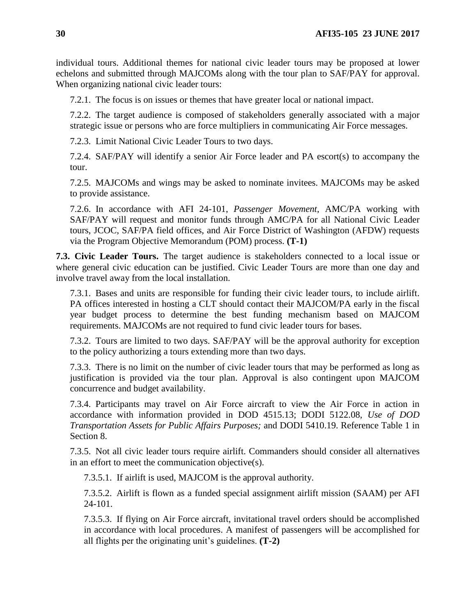individual tours. Additional themes for national civic leader tours may be proposed at lower echelons and submitted through MAJCOMs along with the tour plan to SAF/PAY for approval. When organizing national civic leader tours:

7.2.1. The focus is on issues or themes that have greater local or national impact.

7.2.2. The target audience is composed of stakeholders generally associated with a major strategic issue or persons who are force multipliers in communicating Air Force messages.

7.2.3. Limit National Civic Leader Tours to two days.

7.2.4. SAF/PAY will identify a senior Air Force leader and PA escort(s) to accompany the tour.

7.2.5. MAJCOMs and wings may be asked to nominate invitees. MAJCOMs may be asked to provide assistance.

7.2.6. In accordance with AFI 24-101, *Passenger Movement*, AMC/PA working with SAF/PAY will request and monitor funds through AMC/PA for all National Civic Leader tours, JCOC, SAF/PA field offices, and Air Force District of Washington (AFDW) requests via the Program Objective Memorandum (POM) process. **(T-1)**

<span id="page-29-0"></span>**7.3. Civic Leader Tours.** The target audience is stakeholders connected to a local issue or where general civic education can be justified. Civic Leader Tours are more than one day and involve travel away from the local installation.

7.3.1. Bases and units are responsible for funding their civic leader tours, to include airlift. PA offices interested in hosting a CLT should contact their MAJCOM/PA early in the fiscal year budget process to determine the best funding mechanism based on MAJCOM requirements. MAJCOMs are not required to fund civic leader tours for bases.

7.3.2. Tours are limited to two days. SAF/PAY will be the approval authority for exception to the policy authorizing a tours extending more than two days.

7.3.3. There is no limit on the number of civic leader tours that may be performed as long as justification is provided via the tour plan. Approval is also contingent upon MAJCOM concurrence and budget availability.

7.3.4. Participants may travel on Air Force aircraft to view the Air Force in action in accordance with information provided in DOD 4515.13; DODI 5122.08, *Use of DOD Transportation Assets for Public Affairs Purposes;* and DODI 5410.19. Reference Table 1 in Section 8.

7.3.5. Not all civic leader tours require airlift. Commanders should consider all alternatives in an effort to meet the communication objective(s).

7.3.5.1. If airlift is used, MAJCOM is the approval authority.

7.3.5.2. Airlift is flown as a funded special assignment airlift mission (SAAM) per AFI 24-101.

7.3.5.3. If flying on Air Force aircraft, invitational travel orders should be accomplished in accordance with local procedures. A manifest of passengers will be accomplished for all flights per the originating unit's guidelines. **(T-2)**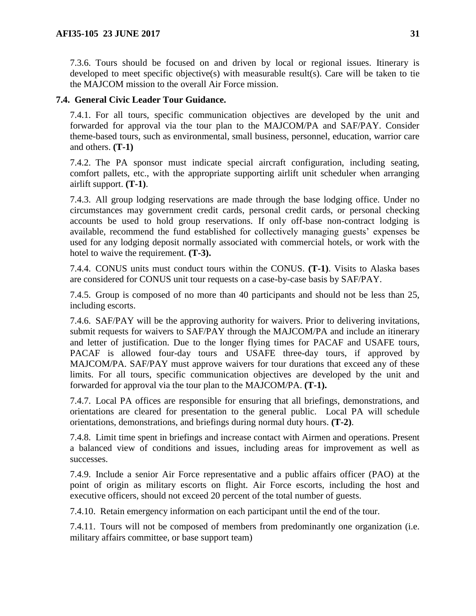7.3.6. Tours should be focused on and driven by local or regional issues. Itinerary is developed to meet specific objective(s) with measurable result(s). Care will be taken to tie the MAJCOM mission to the overall Air Force mission.

## <span id="page-30-0"></span>**7.4. General Civic Leader Tour Guidance.**

7.4.1. For all tours, specific communication objectives are developed by the unit and forwarded for approval via the tour plan to the MAJCOM/PA and SAF/PAY. Consider theme-based tours, such as environmental, small business, personnel, education, warrior care and others. **(T-1)**

7.4.2. The PA sponsor must indicate special aircraft configuration, including seating, comfort pallets, etc., with the appropriate supporting airlift unit scheduler when arranging airlift support. **(T-1)**.

7.4.3. All group lodging reservations are made through the base lodging office. Under no circumstances may government credit cards, personal credit cards, or personal checking accounts be used to hold group reservations. If only off-base non-contract lodging is available, recommend the fund established for collectively managing guests' expenses be used for any lodging deposit normally associated with commercial hotels, or work with the hotel to waive the requirement. **(T-3).**

7.4.4. CONUS units must conduct tours within the CONUS. **(T-1)**. Visits to Alaska bases are considered for CONUS unit tour requests on a case-by-case basis by SAF/PAY.

7.4.5. Group is composed of no more than 40 participants and should not be less than 25, including escorts.

7.4.6. SAF/PAY will be the approving authority for waivers. Prior to delivering invitations, submit requests for waivers to SAF/PAY through the MAJCOM/PA and include an itinerary and letter of justification. Due to the longer flying times for PACAF and USAFE tours, PACAF is allowed four-day tours and USAFE three-day tours, if approved by MAJCOM/PA. SAF/PAY must approve waivers for tour durations that exceed any of these limits. For all tours, specific communication objectives are developed by the unit and forwarded for approval via the tour plan to the MAJCOM/PA. **(T-1).**

7.4.7. Local PA offices are responsible for ensuring that all briefings, demonstrations, and orientations are cleared for presentation to the general public. Local PA will schedule orientations, demonstrations, and briefings during normal duty hours. **(T-2)**.

7.4.8. Limit time spent in briefings and increase contact with Airmen and operations. Present a balanced view of conditions and issues, including areas for improvement as well as successes.

7.4.9. Include a senior Air Force representative and a public affairs officer (PAO) at the point of origin as military escorts on flight. Air Force escorts, including the host and executive officers, should not exceed 20 percent of the total number of guests.

7.4.10. Retain emergency information on each participant until the end of the tour.

7.4.11. Tours will not be composed of members from predominantly one organization (i.e. military affairs committee, or base support team)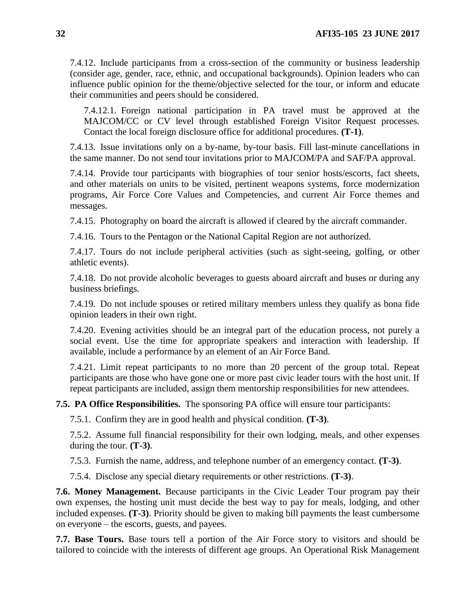7.4.12. Include participants from a cross-section of the community or business leadership (consider age, gender, race, ethnic, and occupational backgrounds). Opinion leaders who can influence public opinion for the theme/objective selected for the tour, or inform and educate their communities and peers should be considered.

7.4.12.1. Foreign national participation in PA travel must be approved at the MAJCOM/CC or CV level through established Foreign Visitor Request processes. Contact the local foreign disclosure office for additional procedures. **(T-1)**.

7.4.13. Issue invitations only on a by-name, by-tour basis. Fill last-minute cancellations in the same manner. Do not send tour invitations prior to MAJCOM/PA and SAF/PA approval.

7.4.14. Provide tour participants with biographies of tour senior hosts/escorts, fact sheets, and other materials on units to be visited, pertinent weapons systems, force modernization programs, Air Force Core Values and Competencies, and current Air Force themes and messages.

7.4.15. Photography on board the aircraft is allowed if cleared by the aircraft commander.

7.4.16. Tours to the Pentagon or the National Capital Region are not authorized.

7.4.17. Tours do not include peripheral activities (such as sight-seeing, golfing, or other athletic events).

7.4.18. Do not provide alcoholic beverages to guests aboard aircraft and buses or during any business briefings.

7.4.19. Do not include spouses or retired military members unless they qualify as bona fide opinion leaders in their own right.

7.4.20. Evening activities should be an integral part of the education process, not purely a social event. Use the time for appropriate speakers and interaction with leadership. If available, include a performance by an element of an Air Force Band.

7.4.21. Limit repeat participants to no more than 20 percent of the group total. Repeat participants are those who have gone one or more past civic leader tours with the host unit. If repeat participants are included, assign them mentorship responsibilities for new attendees.

<span id="page-31-0"></span>**7.5. PA Office Responsibilities.** The sponsoring PA office will ensure tour participants:

7.5.1. Confirm they are in good health and physical condition. **(T-3)**.

7.5.2. Assume full financial responsibility for their own lodging, meals, and other expenses during the tour. **(T-3)**.

7.5.3. Furnish the name, address, and telephone number of an emergency contact. **(T-3)**.

7.5.4. Disclose any special dietary requirements or other restrictions. **(T-3)**.

<span id="page-31-1"></span>**7.6. Money Management.** Because participants in the Civic Leader Tour program pay their own expenses, the hosting unit must decide the best way to pay for meals, lodging, and other included expenses. **(T-3)**. Priority should be given to making bill payments the least cumbersome on everyone – the escorts, guests, and payees.

<span id="page-31-2"></span>**7.7. Base Tours.** Base tours tell a portion of the Air Force story to visitors and should be tailored to coincide with the interests of different age groups. An Operational Risk Management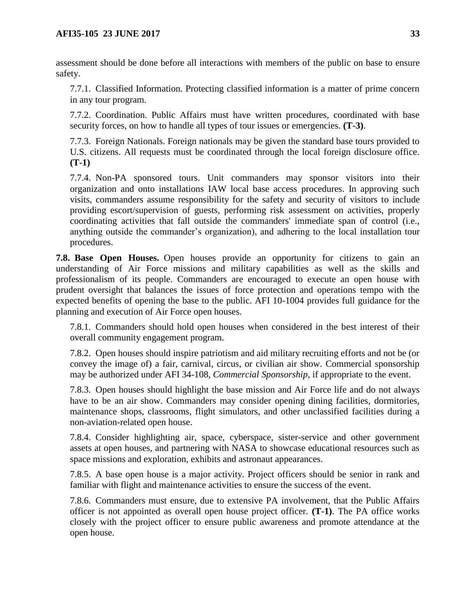assessment should be done before all interactions with members of the public on base to ensure safety.

7.7.1. Classified Information. Protecting classified information is a matter of prime concern in any tour program.

7.7.2. Coordination. Public Affairs must have written procedures, coordinated with base security forces, on how to handle all types of tour issues or emergencies. **(T-3)**.

7.7.3. Foreign Nationals. Foreign nationals may be given the standard base tours provided to U.S. citizens. All requests must be coordinated through the local foreign disclosure office. **(T-1)**

7.7.4. Non-PA sponsored tours. Unit commanders may sponsor visitors into their organization and onto installations IAW local base access procedures. In approving such visits, commanders assume responsibility for the safety and security of visitors to include providing escort/supervision of guests, performing risk assessment on activities, properly coordinating activities that fall outside the commanders' immediate span of control (i.e., anything outside the commander's organization), and adhering to the local installation tour procedures.

<span id="page-32-0"></span>**7.8. Base Open Houses.** Open houses provide an opportunity for citizens to gain an understanding of Air Force missions and military capabilities as well as the skills and professionalism of its people. Commanders are encouraged to execute an open house with prudent oversight that balances the issues of force protection and operations tempo with the expected benefits of opening the base to the public. AFI 10-1004 provides full guidance for the planning and execution of Air Force open houses.

7.8.1. Commanders should hold open houses when considered in the best interest of their overall community engagement program.

7.8.2. Open houses should inspire patriotism and aid military recruiting efforts and not be (or convey the image of) a fair, carnival, circus, or civilian air show. Commercial sponsorship may be authorized under AFI 34-108, *Commercial Sponsorship*, if appropriate to the event.

7.8.3. Open houses should highlight the base mission and Air Force life and do not always have to be an air show. Commanders may consider opening dining facilities, dormitories, maintenance shops, classrooms, flight simulators, and other unclassified facilities during a non-aviation-related open house.

7.8.4. Consider highlighting air, space, cyberspace, sister-service and other government assets at open houses, and partnering with NASA to showcase educational resources such as space missions and exploration, exhibits and astronaut appearances.

7.8.5. A base open house is a major activity. Project officers should be senior in rank and familiar with flight and maintenance activities to ensure the success of the event.

7.8.6. Commanders must ensure, due to extensive PA involvement, that the Public Affairs officer is not appointed as overall open house project officer. **(T-1)**. The PA office works closely with the project officer to ensure public awareness and promote attendance at the open house.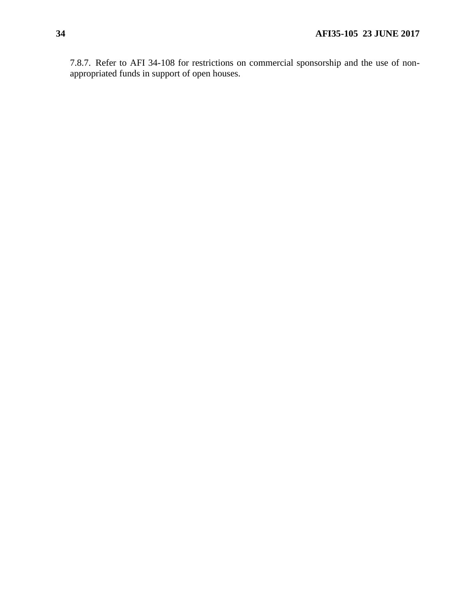7.8.7. Refer to AFI 34-108 for restrictions on commercial sponsorship and the use of nonappropriated funds in support of open houses.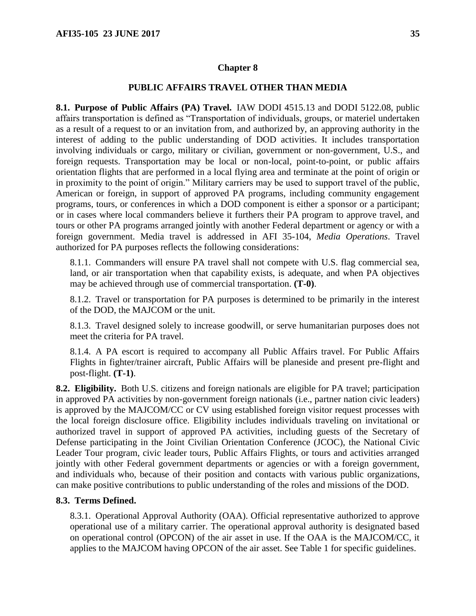### **PUBLIC AFFAIRS TRAVEL OTHER THAN MEDIA**

<span id="page-34-1"></span><span id="page-34-0"></span>**8.1. Purpose of Public Affairs (PA) Travel.** IAW DODI 4515.13 and DODI 5122.08, public affairs transportation is defined as "Transportation of individuals, groups, or materiel undertaken as a result of a request to or an invitation from, and authorized by, an approving authority in the interest of adding to the public understanding of DOD activities. It includes transportation involving individuals or cargo, military or civilian, government or non-government, U.S., and foreign requests. Transportation may be local or non-local, point-to-point, or public affairs orientation flights that are performed in a local flying area and terminate at the point of origin or in proximity to the point of origin." Military carriers may be used to support travel of the public, American or foreign, in support of approved PA programs, including community engagement programs, tours, or conferences in which a DOD component is either a sponsor or a participant; or in cases where local commanders believe it furthers their PA program to approve travel, and tours or other PA programs arranged jointly with another Federal department or agency or with a foreign government. Media travel is addressed in AFI 35-104, *Media Operations*. Travel authorized for PA purposes reflects the following considerations:

8.1.1. Commanders will ensure PA travel shall not compete with U.S. flag commercial sea, land, or air transportation when that capability exists, is adequate, and when PA objectives may be achieved through use of commercial transportation. **(T-0)**.

8.1.2. Travel or transportation for PA purposes is determined to be primarily in the interest of the DOD, the MAJCOM or the unit.

8.1.3. Travel designed solely to increase goodwill, or serve humanitarian purposes does not meet the criteria for PA travel.

8.1.4. A PA escort is required to accompany all Public Affairs travel. For Public Affairs Flights in fighter/trainer aircraft, Public Affairs will be planeside and present pre-flight and post-flight. **(T-1)**.

<span id="page-34-2"></span>**8.2. Eligibility.** Both U.S. citizens and foreign nationals are eligible for PA travel; participation in approved PA activities by non-government foreign nationals (i.e., partner nation civic leaders) is approved by the MAJCOM/CC or CV using established foreign visitor request processes with the local foreign disclosure office. Eligibility includes individuals traveling on invitational or authorized travel in support of approved PA activities, including guests of the Secretary of Defense participating in the Joint Civilian Orientation Conference (JCOC), the National Civic Leader Tour program, civic leader tours, Public Affairs Flights, or tours and activities arranged jointly with other Federal government departments or agencies or with a foreign government, and individuals who, because of their position and contacts with various public organizations, can make positive contributions to public understanding of the roles and missions of the DOD.

### <span id="page-34-3"></span>**8.3. Terms Defined.**

8.3.1. Operational Approval Authority (OAA). Official representative authorized to approve operational use of a military carrier. The operational approval authority is designated based on operational control (OPCON) of the air asset in use. If the OAA is the MAJCOM/CC, it applies to the MAJCOM having OPCON of the air asset. See Table 1 for specific guidelines.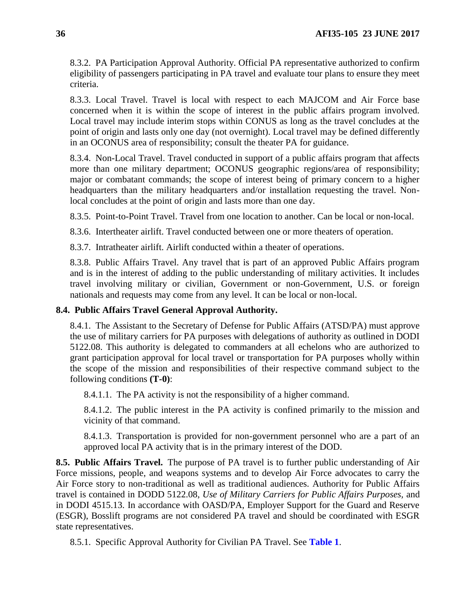8.3.2. PA Participation Approval Authority. Official PA representative authorized to confirm eligibility of passengers participating in PA travel and evaluate tour plans to ensure they meet criteria.

8.3.3. Local Travel. Travel is local with respect to each MAJCOM and Air Force base concerned when it is within the scope of interest in the public affairs program involved. Local travel may include interim stops within CONUS as long as the travel concludes at the point of origin and lasts only one day (not overnight). Local travel may be defined differently in an OCONUS area of responsibility; consult the theater PA for guidance.

8.3.4. Non-Local Travel. Travel conducted in support of a public affairs program that affects more than one military department; OCONUS geographic regions/area of responsibility; major or combatant commands; the scope of interest being of primary concern to a higher headquarters than the military headquarters and/or installation requesting the travel. Nonlocal concludes at the point of origin and lasts more than one day.

8.3.5. Point-to-Point Travel. Travel from one location to another. Can be local or non-local.

8.3.6. Intertheater airlift. Travel conducted between one or more theaters of operation.

8.3.7. Intratheater airlift. Airlift conducted within a theater of operations.

8.3.8. Public Affairs Travel. Any travel that is part of an approved Public Affairs program and is in the interest of adding to the public understanding of military activities. It includes travel involving military or civilian, Government or non-Government, U.S. or foreign nationals and requests may come from any level. It can be local or non-local.

## <span id="page-35-0"></span>**8.4. Public Affairs Travel General Approval Authority.**

8.4.1. The Assistant to the Secretary of Defense for Public Affairs (ATSD/PA) must approve the use of military carriers for PA purposes with delegations of authority as outlined in DODI 5122.08. This authority is delegated to commanders at all echelons who are authorized to grant participation approval for local travel or transportation for PA purposes wholly within the scope of the mission and responsibilities of their respective command subject to the following conditions **(T-0)**:

8.4.1.1. The PA activity is not the responsibility of a higher command.

8.4.1.2. The public interest in the PA activity is confined primarily to the mission and vicinity of that command.

8.4.1.3. Transportation is provided for non-government personnel who are a part of an approved local PA activity that is in the primary interest of the DOD.

<span id="page-35-1"></span>**8.5. Public Affairs Travel.** The purpose of PA travel is to further public understanding of Air Force missions, people, and weapons systems and to develop Air Force advocates to carry the Air Force story to non-traditional as well as traditional audiences. Authority for Public Affairs travel is contained in DODD 5122.08, *Use of Military Carriers for Public Affairs Purposes,* and in DODI 4515.13. In accordance with OASD/PA, Employer Support for the Guard and Reserve (ESGR), Bosslift programs are not considered PA travel and should be coordinated with ESGR state representatives.

8.5.1. Specific Approval Authority for Civilian PA Travel. See **Table 1**.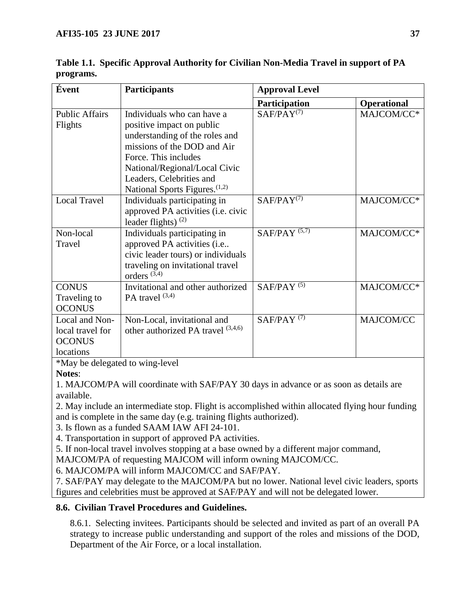| Évent                                         | <b>Participants</b>                       | <b>Approval Level</b> |                    |  |
|-----------------------------------------------|-------------------------------------------|-----------------------|--------------------|--|
|                                               |                                           | Participation         | <b>Operational</b> |  |
| <b>Public Affairs</b>                         | Individuals who can have a                | $SAF/PAY^{(7)}$       | MAJCOM/CC*         |  |
| Flights                                       | positive impact on public                 |                       |                    |  |
|                                               | understanding of the roles and            |                       |                    |  |
|                                               | missions of the DOD and Air               |                       |                    |  |
|                                               | Force. This includes                      |                       |                    |  |
|                                               | National/Regional/Local Civic             |                       |                    |  |
|                                               | Leaders, Celebrities and                  |                       |                    |  |
|                                               | National Sports Figures. <sup>(1,2)</sup> |                       |                    |  |
| <b>Local Travel</b>                           | Individuals participating in              | $SAF/PAY^{(7)}$       | MAJCOM/CC*         |  |
|                                               | approved PA activities (i.e. civic        |                       |                    |  |
|                                               | leader flights) $(2)$                     |                       |                    |  |
| Non-local                                     | Individuals participating in              | SAF/PAY $(5,7)$       | MAJCOM/CC*         |  |
| Travel                                        | approved PA activities (i.e               |                       |                    |  |
|                                               | civic leader tours) or individuals        |                       |                    |  |
|                                               | traveling on invitational travel          |                       |                    |  |
|                                               | orders $(3,4)$                            |                       |                    |  |
| <b>CONUS</b>                                  | Invitational and other authorized         | SAF/PAY $(5)$         | MAJCOM/CC*         |  |
| Traveling to                                  | PA travel $(3,4)$                         |                       |                    |  |
| <b>OCONUS</b>                                 |                                           |                       |                    |  |
| Local and Non-                                | Non-Local, invitational and               | SAF/PAY $(7)$         | MAJCOM/CC          |  |
| local travel for                              | other authorized PA travel (3,4,6)        |                       |                    |  |
| <b>OCONUS</b>                                 |                                           |                       |                    |  |
| locations                                     |                                           |                       |                    |  |
| $*M_{\text{ext}}$ is delegated to wine level. |                                           |                       |                    |  |

<span id="page-36-0"></span>**Table 1.1. Specific Approval Authority for Civilian Non-Media Travel in support of PA programs.**

\*May be delegated to wing-level

**Notes**:

1. MAJCOM/PA will coordinate with SAF/PAY 30 days in advance or as soon as details are available.

2. May include an intermediate stop. Flight is accomplished within allocated flying hour funding and is complete in the same day (e.g. training flights authorized).

3. Is flown as a funded SAAM IAW AFI 24-101.

4. Transportation in support of approved PA activities.

5. If non-local travel involves stopping at a base owned by a different major command,

MAJCOM/PA of requesting MAJCOM will inform owning MAJCOM/CC.

6. MAJCOM/PA will inform MAJCOM/CC and SAF/PAY.

7. SAF/PAY may delegate to the MAJCOM/PA but no lower. National level civic leaders, sports figures and celebrities must be approved at SAF/PAY and will not be delegated lower.

# <span id="page-36-1"></span>**8.6. Civilian Travel Procedures and Guidelines.**

8.6.1. Selecting invitees. Participants should be selected and invited as part of an overall PA strategy to increase public understanding and support of the roles and missions of the DOD, Department of the Air Force, or a local installation.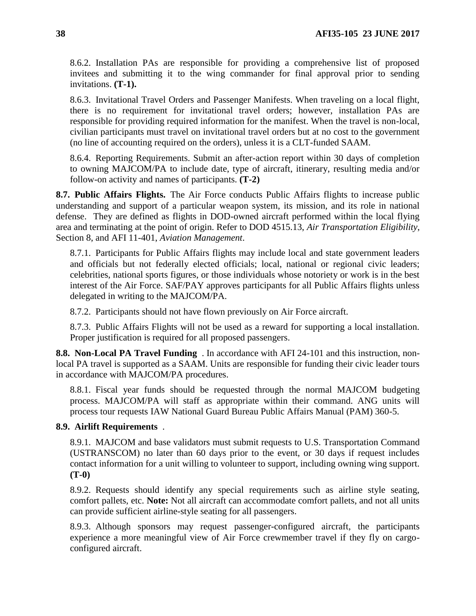8.6.2. Installation PAs are responsible for providing a comprehensive list of proposed invitees and submitting it to the wing commander for final approval prior to sending invitations. **(T-1).**

8.6.3. Invitational Travel Orders and Passenger Manifests. When traveling on a local flight, there is no requirement for invitational travel orders; however, installation PAs are responsible for providing required information for the manifest. When the travel is non-local, civilian participants must travel on invitational travel orders but at no cost to the government (no line of accounting required on the orders), unless it is a CLT-funded SAAM.

8.6.4. Reporting Requirements. Submit an after-action report within 30 days of completion to owning MAJCOM/PA to include date, type of aircraft, itinerary, resulting media and/or follow-on activity and names of participants. **(T-2)**

<span id="page-37-0"></span>**8.7. Public Affairs Flights.** The Air Force conducts Public Affairs flights to increase public understanding and support of a particular weapon system, its mission, and its role in national defense. They are defined as flights in DOD-owned aircraft performed within the local flying area and terminating at the point of origin. Refer to DOD 4515.13, *Air Transportation Eligibility*, Section 8, and AFI 11-401, *Aviation Management*.

8.7.1. Participants for Public Affairs flights may include local and state government leaders and officials but not federally elected officials; local, national or regional civic leaders; celebrities, national sports figures, or those individuals whose notoriety or work is in the best interest of the Air Force. SAF/PAY approves participants for all Public Affairs flights unless delegated in writing to the MAJCOM/PA.

8.7.2. Participants should not have flown previously on Air Force aircraft.

8.7.3. Public Affairs Flights will not be used as a reward for supporting a local installation. Proper justification is required for all proposed passengers.

<span id="page-37-1"></span>**8.8. Non-Local PA Travel Funding** . In accordance with AFI 24-101 and this instruction, nonlocal PA travel is supported as a SAAM. Units are responsible for funding their civic leader tours in accordance with MAJCOM/PA procedures.

8.8.1. Fiscal year funds should be requested through the normal MAJCOM budgeting process. MAJCOM/PA will staff as appropriate within their command. ANG units will process tour requests IAW National Guard Bureau Public Affairs Manual (PAM) 360-5.

## <span id="page-37-2"></span>**8.9. Airlift Requirements** .

8.9.1. MAJCOM and base validators must submit requests to U.S. Transportation Command (USTRANSCOM) no later than 60 days prior to the event, or 30 days if request includes contact information for a unit willing to volunteer to support, including owning wing support. **(T-0)**

8.9.2. Requests should identify any special requirements such as airline style seating, comfort pallets, etc. **Note:** Not all aircraft can accommodate comfort pallets, and not all units can provide sufficient airline-style seating for all passengers.

8.9.3. Although sponsors may request passenger-configured aircraft, the participants experience a more meaningful view of Air Force crewmember travel if they fly on cargoconfigured aircraft.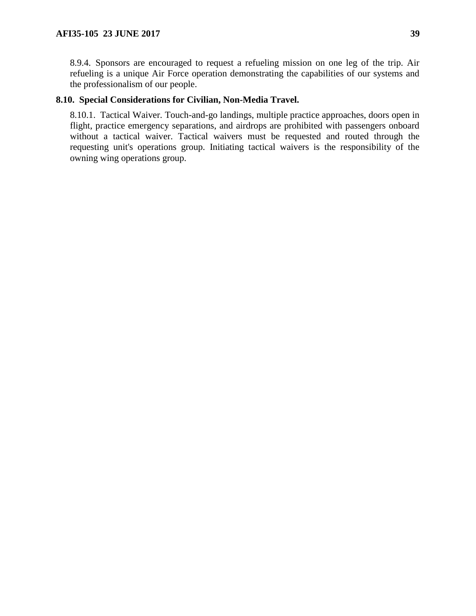8.9.4. Sponsors are encouraged to request a refueling mission on one leg of the trip. Air refueling is a unique Air Force operation demonstrating the capabilities of our systems and the professionalism of our people.

## <span id="page-38-0"></span>**8.10. Special Considerations for Civilian, Non-Media Travel.**

8.10.1. Tactical Waiver. Touch-and-go landings, multiple practice approaches, doors open in flight, practice emergency separations, and airdrops are prohibited with passengers onboard without a tactical waiver. Tactical waivers must be requested and routed through the requesting unit's operations group. Initiating tactical waivers is the responsibility of the owning wing operations group.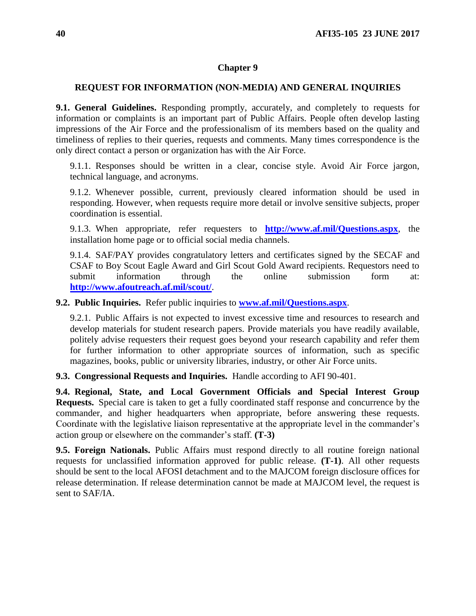### <span id="page-39-0"></span>**REQUEST FOR INFORMATION (NON-MEDIA) AND GENERAL INQUIRIES**

<span id="page-39-1"></span>**9.1. General Guidelines.** Responding promptly, accurately, and completely to requests for information or complaints is an important part of Public Affairs. People often develop lasting impressions of the Air Force and the professionalism of its members based on the quality and timeliness of replies to their queries, requests and comments. Many times correspondence is the only direct contact a person or organization has with the Air Force.

9.1.1. Responses should be written in a clear, concise style. Avoid Air Force jargon, technical language, and acronyms.

9.1.2. Whenever possible, current, previously cleared information should be used in responding. However, when requests require more detail or involve sensitive subjects, proper coordination is essential.

9.1.3. When appropriate, refer requesters to **<http://www.af.mil/Questions.aspx>**, the installation home page or to official social media channels.

9.1.4. SAF/PAY provides congratulatory letters and certificates signed by the SECAF and CSAF to Boy Scout Eagle Award and Girl Scout Gold Award recipients. Requestors need to submit information through the online submission form at: **<http://www.afoutreach.af.mil/scout/>**.

<span id="page-39-2"></span>**9.2. Public Inquiries.** Refer public inquiries to **[www.af.mil/Questions.aspx](http://www.af.mil/Questions.aspx)**.

9.2.1. Public Affairs is not expected to invest excessive time and resources to research and develop materials for student research papers. Provide materials you have readily available, politely advise requesters their request goes beyond your research capability and refer them for further information to other appropriate sources of information, such as specific magazines, books, public or university libraries, industry, or other Air Force units.

<span id="page-39-3"></span>**9.3. Congressional Requests and Inquiries.** Handle according to AFI 90-401.

<span id="page-39-4"></span>**9.4. Regional, State, and Local Government Officials and Special Interest Group Requests.** Special care is taken to get a fully coordinated staff response and concurrence by the commander, and higher headquarters when appropriate, before answering these requests. Coordinate with the legislative liaison representative at the appropriate level in the commander's action group or elsewhere on the commander's staff. **(T-3)**

<span id="page-39-5"></span>**9.5. Foreign Nationals.** Public Affairs must respond directly to all routine foreign national requests for unclassified information approved for public release. **(T-1)**. All other requests should be sent to the local AFOSI detachment and to the MAJCOM foreign disclosure offices for release determination. If release determination cannot be made at MAJCOM level, the request is sent to SAF/IA.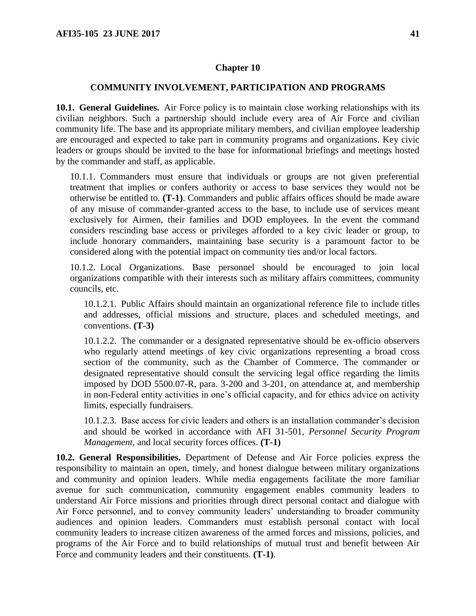#### <span id="page-40-0"></span>**COMMUNITY INVOLVEMENT, PARTICIPATION AND PROGRAMS**

<span id="page-40-1"></span>**10.1. General Guidelines.** Air Force policy is to maintain close working relationships with its civilian neighbors. Such a partnership should include every area of Air Force and civilian community life. The base and its appropriate military members, and civilian employee leadership are encouraged and expected to take part in community programs and organizations. Key civic leaders or groups should be invited to the base for informational briefings and meetings hosted by the commander and staff, as applicable.

10.1.1. Commanders must ensure that individuals or groups are not given preferential treatment that implies or confers authority or access to base services they would not be otherwise be entitled to. **(T-1)**. Commanders and public affairs offices should be made aware of any misuse of commander-granted access to the base, to include use of services meant exclusively for Airmen, their families and DOD employees. In the event the command considers rescinding base access or privileges afforded to a key civic leader or group, to include honorary commanders, maintaining base security is a paramount factor to be considered along with the potential impact on community ties and/or local factors.

10.1.2. Local Organizations. Base personnel should be encouraged to join local organizations compatible with their interests such as military affairs committees, community councils, etc.

10.1.2.1. Public Affairs should maintain an organizational reference file to include titles and addresses, official missions and structure, places and scheduled meetings, and conventions. **(T-3)**

10.1.2.2. The commander or a designated representative should be ex-officio observers who regularly attend meetings of key civic organizations representing a broad cross section of the community, such as the Chamber of Commerce. The commander or designated representative should consult the servicing legal office regarding the limits imposed by DOD 5500.07-R, para. 3-200 and 3-201, on attendance at, and membership in non-Federal entity activities in one's official capacity, and for ethics advice on activity limits, especially fundraisers.

10.1.2.3. Base access for civic leaders and others is an installation commander's decision and should be worked in accordance with AFI 31-501*, Personnel Security Program Management*, and local security forces offices. **(T-1)**

<span id="page-40-2"></span>**10.2. General Responsibilities.** Department of Defense and Air Force policies express the responsibility to maintain an open, timely, and honest dialogue between military organizations and community and opinion leaders. While media engagements facilitate the more familiar avenue for such communication, community engagement enables community leaders to understand Air Force missions and priorities through direct personal contact and dialogue with Air Force personnel, and to convey community leaders' understanding to broader community audiences and opinion leaders. Commanders must establish personal contact with local community leaders to increase citizen awareness of the armed forces and missions, policies, and programs of the Air Force and to build relationships of mutual trust and benefit between Air Force and community leaders and their constituents. **(T-1)**.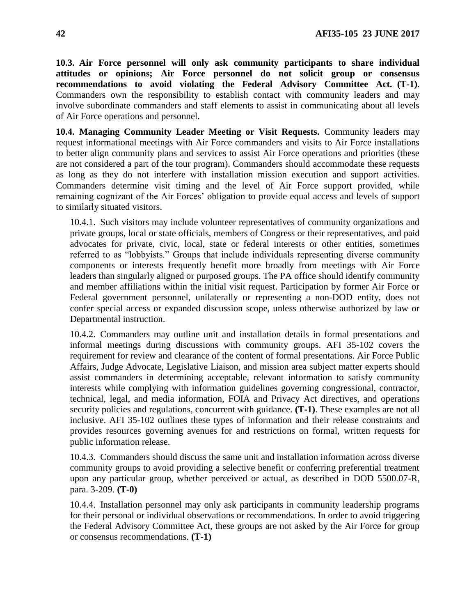<span id="page-41-0"></span>**10.3. Air Force personnel will only ask community participants to share individual attitudes or opinions; Air Force personnel do not solicit group or consensus recommendations to avoid violating the Federal Advisory Committee Act. (T-1)**. Commanders own the responsibility to establish contact with community leaders and may involve subordinate commanders and staff elements to assist in communicating about all levels of Air Force operations and personnel.

<span id="page-41-1"></span>**10.4. Managing Community Leader Meeting or Visit Requests.** Community leaders may request informational meetings with Air Force commanders and visits to Air Force installations to better align community plans and services to assist Air Force operations and priorities (these are not considered a part of the tour program). Commanders should accommodate these requests as long as they do not interfere with installation mission execution and support activities. Commanders determine visit timing and the level of Air Force support provided, while remaining cognizant of the Air Forces' obligation to provide equal access and levels of support to similarly situated visitors.

10.4.1. Such visitors may include volunteer representatives of community organizations and private groups, local or state officials, members of Congress or their representatives, and paid advocates for private, civic, local, state or federal interests or other entities, sometimes referred to as "lobbyists." Groups that include individuals representing diverse community components or interests frequently benefit more broadly from meetings with Air Force leaders than singularly aligned or purposed groups. The PA office should identify community and member affiliations within the initial visit request. Participation by former Air Force or Federal government personnel, unilaterally or representing a non-DOD entity, does not confer special access or expanded discussion scope, unless otherwise authorized by law or Departmental instruction.

10.4.2. Commanders may outline unit and installation details in formal presentations and informal meetings during discussions with community groups. AFI 35-102 covers the requirement for review and clearance of the content of formal presentations. Air Force Public Affairs, Judge Advocate, Legislative Liaison, and mission area subject matter experts should assist commanders in determining acceptable, relevant information to satisfy community interests while complying with information guidelines governing congressional, contractor, technical, legal, and media information, FOIA and Privacy Act directives, and operations security policies and regulations, concurrent with guidance. **(T-1)**. These examples are not all inclusive. AFI 35-102 outlines these types of information and their release constraints and provides resources governing avenues for and restrictions on formal, written requests for public information release.

10.4.3. Commanders should discuss the same unit and installation information across diverse community groups to avoid providing a selective benefit or conferring preferential treatment upon any particular group, whether perceived or actual, as described in DOD 5500.07-R, para. 3-209. **(T-0)**

10.4.4. Installation personnel may only ask participants in community leadership programs for their personal or individual observations or recommendations. In order to avoid triggering the Federal Advisory Committee Act, these groups are not asked by the Air Force for group or consensus recommendations. **(T-1)**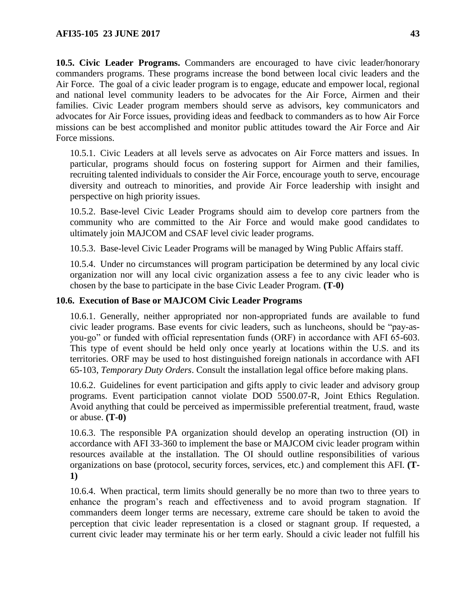<span id="page-42-0"></span>**10.5. Civic Leader Programs.** Commanders are encouraged to have civic leader/honorary commanders programs. These programs increase the bond between local civic leaders and the Air Force. The goal of a civic leader program is to engage, educate and empower local, regional and national level community leaders to be advocates for the Air Force, Airmen and their families. Civic Leader program members should serve as advisors, key communicators and advocates for Air Force issues, providing ideas and feedback to commanders as to how Air Force missions can be best accomplished and monitor public attitudes toward the Air Force and Air Force missions.

10.5.1. Civic Leaders at all levels serve as advocates on Air Force matters and issues. In particular, programs should focus on fostering support for Airmen and their families, recruiting talented individuals to consider the Air Force, encourage youth to serve, encourage diversity and outreach to minorities, and provide Air Force leadership with insight and perspective on high priority issues.

10.5.2. Base-level Civic Leader Programs should aim to develop core partners from the community who are committed to the Air Force and would make good candidates to ultimately join MAJCOM and CSAF level civic leader programs.

10.5.3. Base-level Civic Leader Programs will be managed by Wing Public Affairs staff.

10.5.4. Under no circumstances will program participation be determined by any local civic organization nor will any local civic organization assess a fee to any civic leader who is chosen by the base to participate in the base Civic Leader Program. **(T-0)**

### <span id="page-42-1"></span>**10.6. Execution of Base or MAJCOM Civic Leader Programs**

10.6.1. Generally, neither appropriated nor non-appropriated funds are available to fund civic leader programs. Base events for civic leaders, such as luncheons, should be "pay-asyou-go" or funded with official representation funds (ORF) in accordance with AFI 65-603. This type of event should be held only once yearly at locations within the U.S. and its territories. ORF may be used to host distinguished foreign nationals in accordance with AFI 65-103, *Temporary Duty Orders*. Consult the installation legal office before making plans.

10.6.2. Guidelines for event participation and gifts apply to civic leader and advisory group programs. Event participation cannot violate DOD 5500.07-R, Joint Ethics Regulation. Avoid anything that could be perceived as impermissible preferential treatment, fraud, waste or abuse. **(T-0)**

10.6.3. The responsible PA organization should develop an operating instruction (OI) in accordance with AFI 33-360 to implement the base or MAJCOM civic leader program within resources available at the installation. The OI should outline responsibilities of various organizations on base (protocol, security forces, services, etc.) and complement this AFI. **(T-1)**

10.6.4. When practical, term limits should generally be no more than two to three years to enhance the program's reach and effectiveness and to avoid program stagnation. If commanders deem longer terms are necessary, extreme care should be taken to avoid the perception that civic leader representation is a closed or stagnant group. If requested, a current civic leader may terminate his or her term early. Should a civic leader not fulfill his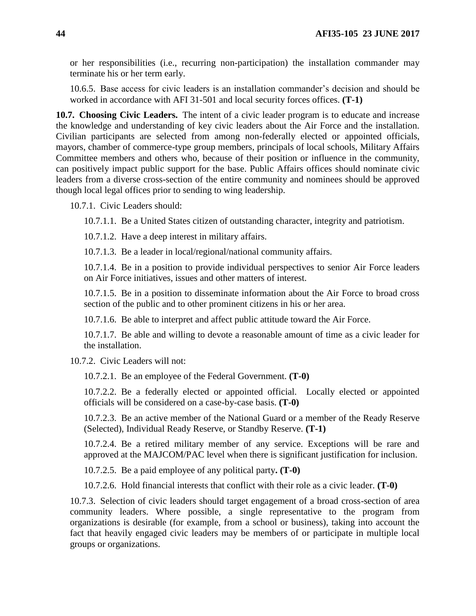or her responsibilities (i.e., recurring non-participation) the installation commander may terminate his or her term early.

10.6.5. Base access for civic leaders is an installation commander's decision and should be worked in accordance with AFI 31-501 and local security forces offices. **(T-1)**

<span id="page-43-0"></span>**10.7. Choosing Civic Leaders.** The intent of a civic leader program is to educate and increase the knowledge and understanding of key civic leaders about the Air Force and the installation. Civilian participants are selected from among non-federally elected or appointed officials, mayors, chamber of commerce-type group members, principals of local schools, Military Affairs Committee members and others who, because of their position or influence in the community, can positively impact public support for the base. Public Affairs offices should nominate civic leaders from a diverse cross-section of the entire community and nominees should be approved though local legal offices prior to sending to wing leadership.

10.7.1. Civic Leaders should:

10.7.1.1. Be a United States citizen of outstanding character, integrity and patriotism.

10.7.1.2. Have a deep interest in military affairs.

10.7.1.3. Be a leader in local/regional/national community affairs.

10.7.1.4. Be in a position to provide individual perspectives to senior Air Force leaders on Air Force initiatives, issues and other matters of interest.

10.7.1.5. Be in a position to disseminate information about the Air Force to broad cross section of the public and to other prominent citizens in his or her area.

10.7.1.6. Be able to interpret and affect public attitude toward the Air Force.

10.7.1.7. Be able and willing to devote a reasonable amount of time as a civic leader for the installation.

10.7.2. Civic Leaders will not:

10.7.2.1. Be an employee of the Federal Government. **(T-0)**

10.7.2.2. Be a federally elected or appointed official. Locally elected or appointed officials will be considered on a case-by-case basis. **(T-0)**

10.7.2.3. Be an active member of the National Guard or a member of the Ready Reserve (Selected), Individual Ready Reserve, or Standby Reserve. **(T-1)**

10.7.2.4. Be a retired military member of any service. Exceptions will be rare and approved at the MAJCOM/PAC level when there is significant justification for inclusion.

10.7.2.5. Be a paid employee of any political party**. (T-0)**

10.7.2.6. Hold financial interests that conflict with their role as a civic leader. **(T-0)**

10.7.3. Selection of civic leaders should target engagement of a broad cross-section of area community leaders. Where possible, a single representative to the program from organizations is desirable (for example, from a school or business), taking into account the fact that heavily engaged civic leaders may be members of or participate in multiple local groups or organizations.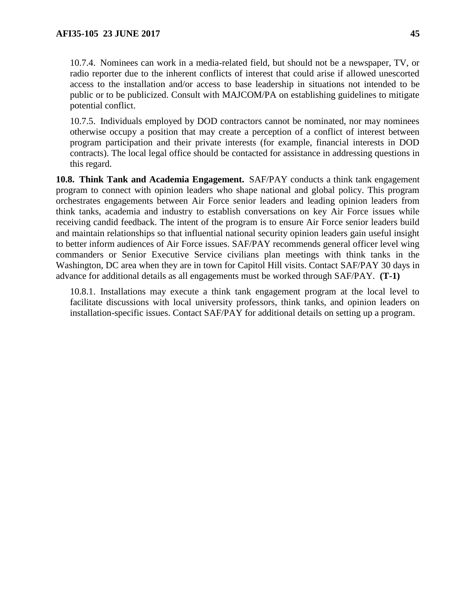10.7.5. Individuals employed by DOD contractors cannot be nominated, nor may nominees otherwise occupy a position that may create a perception of a conflict of interest between program participation and their private interests (for example, financial interests in DOD contracts). The local legal office should be contacted for assistance in addressing questions in this regard.

<span id="page-44-0"></span>**10.8. Think Tank and Academia Engagement.** SAF/PAY conducts a think tank engagement program to connect with opinion leaders who shape national and global policy. This program orchestrates engagements between Air Force senior leaders and leading opinion leaders from think tanks, academia and industry to establish conversations on key Air Force issues while receiving candid feedback. The intent of the program is to ensure Air Force senior leaders build and maintain relationships so that influential national security opinion leaders gain useful insight to better inform audiences of Air Force issues. SAF/PAY recommends general officer level wing commanders or Senior Executive Service civilians plan meetings with think tanks in the Washington, DC area when they are in town for Capitol Hill visits. Contact SAF/PAY 30 days in advance for additional details as all engagements must be worked through SAF/PAY. **(T-1)**

10.8.1. Installations may execute a think tank engagement program at the local level to facilitate discussions with local university professors, think tanks, and opinion leaders on installation-specific issues. Contact SAF/PAY for additional details on setting up a program.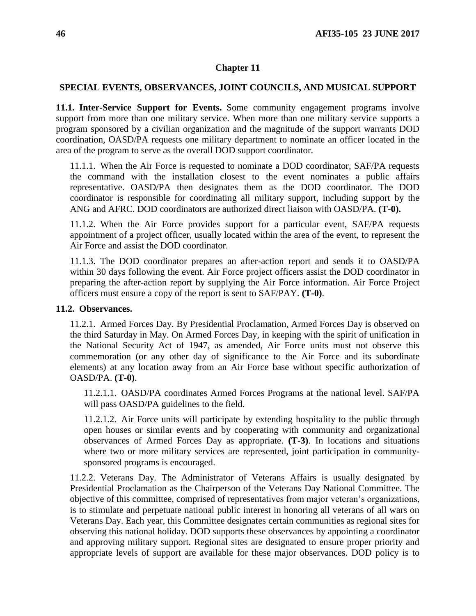## <span id="page-45-0"></span>**SPECIAL EVENTS, OBSERVANCES, JOINT COUNCILS, AND MUSICAL SUPPORT**

<span id="page-45-1"></span>**11.1. Inter-Service Support for Events.** Some community engagement programs involve support from more than one military service. When more than one military service supports a program sponsored by a civilian organization and the magnitude of the support warrants DOD coordination, OASD/PA requests one military department to nominate an officer located in the area of the program to serve as the overall DOD support coordinator.

11.1.1. When the Air Force is requested to nominate a DOD coordinator, SAF/PA requests the command with the installation closest to the event nominates a public affairs representative. OASD/PA then designates them as the DOD coordinator. The DOD coordinator is responsible for coordinating all military support, including support by the ANG and AFRC. DOD coordinators are authorized direct liaison with OASD/PA. **(T-0).**

11.1.2. When the Air Force provides support for a particular event, SAF/PA requests appointment of a project officer, usually located within the area of the event, to represent the Air Force and assist the DOD coordinator.

11.1.3. The DOD coordinator prepares an after-action report and sends it to OASD/PA within 30 days following the event. Air Force project officers assist the DOD coordinator in preparing the after-action report by supplying the Air Force information. Air Force Project officers must ensure a copy of the report is sent to SAF/PAY. **(T-0)**.

## <span id="page-45-2"></span>**11.2. Observances.**

11.2.1. Armed Forces Day. By Presidential Proclamation, Armed Forces Day is observed on the third Saturday in May. On Armed Forces Day, in keeping with the spirit of unification in the National Security Act of 1947, as amended, Air Force units must not observe this commemoration (or any other day of significance to the Air Force and its subordinate elements) at any location away from an Air Force base without specific authorization of OASD/PA. **(T-0)**.

11.2.1.1. OASD/PA coordinates Armed Forces Programs at the national level. SAF/PA will pass OASD/PA guidelines to the field.

11.2.1.2. Air Force units will participate by extending hospitality to the public through open houses or similar events and by cooperating with community and organizational observances of Armed Forces Day as appropriate. **(T-3)**. In locations and situations where two or more military services are represented, joint participation in communitysponsored programs is encouraged.

11.2.2. Veterans Day. The Administrator of Veterans Affairs is usually designated by Presidential Proclamation as the Chairperson of the Veterans Day National Committee. The objective of this committee, comprised of representatives from major veteran's organizations, is to stimulate and perpetuate national public interest in honoring all veterans of all wars on Veterans Day. Each year, this Committee designates certain communities as regional sites for observing this national holiday. DOD supports these observances by appointing a coordinator and approving military support. Regional sites are designated to ensure proper priority and appropriate levels of support are available for these major observances. DOD policy is to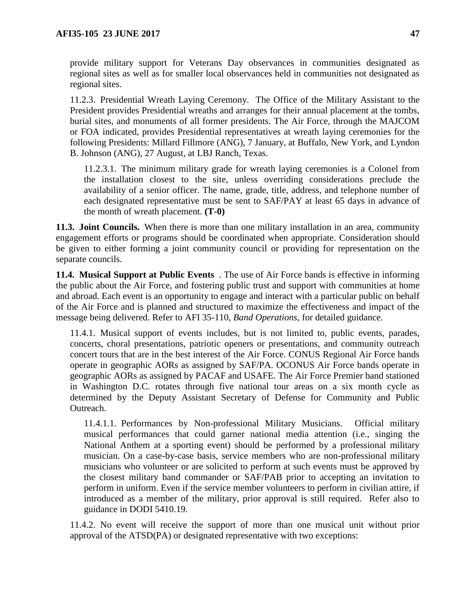provide military support for Veterans Day observances in communities designated as regional sites as well as for smaller local observances held in communities not designated as regional sites.

11.2.3. Presidential Wreath Laying Ceremony. The Office of the Military Assistant to the President provides Presidential wreaths and arranges for their annual placement at the tombs, burial sites, and monuments of all former presidents. The Air Force, through the MAJCOM or FOA indicated, provides Presidential representatives at wreath laying ceremonies for the following Presidents: Millard Fillmore (ANG), 7 January, at Buffalo, New York, and Lyndon B. Johnson (ANG), 27 August, at LBJ Ranch, Texas.

11.2.3.1. The minimum military grade for wreath laying ceremonies is a Colonel from the installation closest to the site, unless overriding considerations preclude the availability of a senior officer. The name, grade, title, address, and telephone number of each designated representative must be sent to SAF/PAY at least 65 days in advance of the month of wreath placement. **(T-0)**

<span id="page-46-0"></span>**11.3. Joint Councils.** When there is more than one military installation in an area, community engagement efforts or programs should be coordinated when appropriate. Consideration should be given to either forming a joint community council or providing for representation on the separate councils.

<span id="page-46-1"></span>**11.4. Musical Support at Public Events** . The use of Air Force bands is effective in informing the public about the Air Force, and fostering public trust and support with communities at home and abroad. Each event is an opportunity to engage and interact with a particular public on behalf of the Air Force and is planned and structured to maximize the effectiveness and impact of the message being delivered. Refer to AFI 35-110, *Band Operations*, for detailed guidance.

11.4.1. Musical support of events includes, but is not limited to, public events, parades, concerts, choral presentations, patriotic openers or presentations, and community outreach concert tours that are in the best interest of the Air Force. CONUS Regional Air Force bands operate in geographic AORs as assigned by SAF/PA. OCONUS Air Force bands operate in geographic AORs as assigned by PACAF and USAFE. The Air Force Premier band stationed in Washington D.C. rotates through five national tour areas on a six month cycle as determined by the Deputy Assistant Secretary of Defense for Community and Public Outreach.

11.4.1.1. Performances by Non-professional Military Musicians. Official military musical performances that could garner national media attention (i.e., singing the National Anthem at a sporting event) should be performed by a professional military musician. On a case-by-case basis, service members who are non-professional military musicians who volunteer or are solicited to perform at such events must be approved by the closest military band commander or SAF/PAB prior to accepting an invitation to perform in uniform. Even if the service member volunteers to perform in civilian attire, if introduced as a member of the military, prior approval is still required. Refer also to guidance in DODI 5410.19*.*

11.4.2. No event will receive the support of more than one musical unit without prior approval of the ATSD(PA) or designated representative with two exceptions: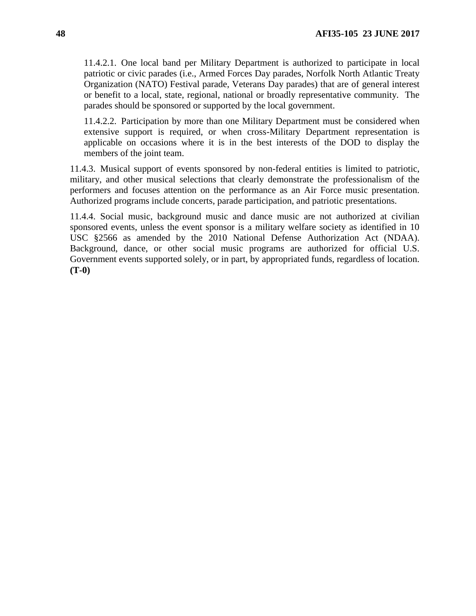11.4.2.1. One local band per Military Department is authorized to participate in local patriotic or civic parades (i.e., Armed Forces Day parades, Norfolk North Atlantic Treaty Organization (NATO) Festival parade, Veterans Day parades) that are of general interest or benefit to a local, state, regional, national or broadly representative community. The parades should be sponsored or supported by the local government.

11.4.2.2. Participation by more than one Military Department must be considered when extensive support is required, or when cross-Military Department representation is applicable on occasions where it is in the best interests of the DOD to display the members of the joint team.

11.4.3. Musical support of events sponsored by non-federal entities is limited to patriotic, military, and other musical selections that clearly demonstrate the professionalism of the performers and focuses attention on the performance as an Air Force music presentation. Authorized programs include concerts, parade participation, and patriotic presentations.

11.4.4. Social music, background music and dance music are not authorized at civilian sponsored events, unless the event sponsor is a military welfare society as identified in 10 USC §2566 as amended by the 2010 National Defense Authorization Act (NDAA). Background, dance, or other social music programs are authorized for official U.S. Government events supported solely, or in part, by appropriated funds, regardless of location. **(T-0)**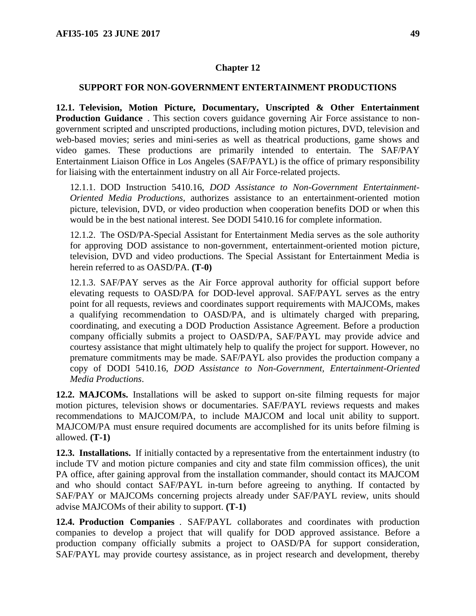### <span id="page-48-0"></span>**SUPPORT FOR NON-GOVERNMENT ENTERTAINMENT PRODUCTIONS**

<span id="page-48-1"></span>**12.1. Television, Motion Picture, Documentary, Unscripted & Other Entertainment Production Guidance** . This section covers guidance governing Air Force assistance to nongovernment scripted and unscripted productions, including motion pictures, DVD, television and web-based movies; series and mini-series as well as theatrical productions, game shows and video games. These productions are primarily intended to entertain. The SAF/PAY Entertainment Liaison Office in Los Angeles (SAF/PAYL) is the office of primary responsibility for liaising with the entertainment industry on all Air Force-related projects.

12.1.1. DOD Instruction 5410.16, *DOD Assistance to Non-Government Entertainment-Oriented Media Productions*, authorizes assistance to an entertainment-oriented motion picture, television, DVD, or video production when cooperation benefits DOD or when this would be in the best national interest. See DODI 5410.16 for complete information.

12.1.2. The OSD/PA-Special Assistant for Entertainment Media serves as the sole authority for approving DOD assistance to non-government, entertainment-oriented motion picture, television, DVD and video productions. The Special Assistant for Entertainment Media is herein referred to as OASD/PA. **(T-0)**

12.1.3. SAF/PAY serves as the Air Force approval authority for official support before elevating requests to OASD/PA for DOD-level approval. SAF/PAYL serves as the entry point for all requests, reviews and coordinates support requirements with MAJCOMs, makes a qualifying recommendation to OASD/PA, and is ultimately charged with preparing, coordinating, and executing a DOD Production Assistance Agreement. Before a production company officially submits a project to OASD/PA, SAF/PAYL may provide advice and courtesy assistance that might ultimately help to qualify the project for support. However, no premature commitments may be made. SAF/PAYL also provides the production company a copy of DODI 5410.16, *DOD Assistance to Non-Government, Entertainment-Oriented Media Productions*.

<span id="page-48-2"></span>**12.2. MAJCOMs.** Installations will be asked to support on-site filming requests for major motion pictures, television shows or documentaries. SAF/PAYL reviews requests and makes recommendations to MAJCOM/PA, to include MAJCOM and local unit ability to support. MAJCOM/PA must ensure required documents are accomplished for its units before filming is allowed. **(T-1)**

<span id="page-48-3"></span>**12.3. Installations.** If initially contacted by a representative from the entertainment industry (to include TV and motion picture companies and city and state film commission offices), the unit PA office, after gaining approval from the installation commander, should contact its MAJCOM and who should contact SAF/PAYL in-turn before agreeing to anything. If contacted by SAF/PAY or MAJCOMs concerning projects already under SAF/PAYL review, units should advise MAJCOMs of their ability to support. **(T-1)**

<span id="page-48-4"></span>**12.4. Production Companies** . SAF/PAYL collaborates and coordinates with production companies to develop a project that will qualify for DOD approved assistance. Before a production company officially submits a project to OASD/PA for support consideration, SAF/PAYL may provide courtesy assistance, as in project research and development, thereby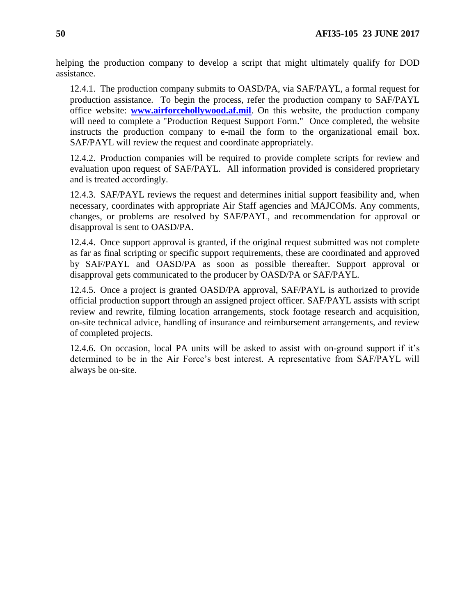helping the production company to develop a script that might ultimately qualify for DOD assistance.

12.4.1. The production company submits to OASD/PA, via SAF/PAYL, a formal request for production assistance. To begin the process, refer the production company to SAF/PAYL office website: **[www.airforcehollywood.af.mil](http://www.airforcehollywood.af.mil/)**. On this website, the production company will need to complete a "Production Request Support Form." Once completed, the website instructs the production company to e-mail the form to the organizational email box. SAF/PAYL will review the request and coordinate appropriately.

12.4.2. Production companies will be required to provide complete scripts for review and evaluation upon request of SAF/PAYL. All information provided is considered proprietary and is treated accordingly.

12.4.3. SAF/PAYL reviews the request and determines initial support feasibility and, when necessary, coordinates with appropriate Air Staff agencies and MAJCOMs. Any comments, changes, or problems are resolved by SAF/PAYL, and recommendation for approval or disapproval is sent to OASD/PA.

12.4.4. Once support approval is granted, if the original request submitted was not complete as far as final scripting or specific support requirements, these are coordinated and approved by SAF/PAYL and OASD/PA as soon as possible thereafter. Support approval or disapproval gets communicated to the producer by OASD/PA or SAF/PAYL.

12.4.5. Once a project is granted OASD/PA approval, SAF/PAYL is authorized to provide official production support through an assigned project officer. SAF/PAYL assists with script review and rewrite, filming location arrangements, stock footage research and acquisition, on-site technical advice, handling of insurance and reimbursement arrangements, and review of completed projects.

12.4.6. On occasion, local PA units will be asked to assist with on-ground support if it's determined to be in the Air Force's best interest. A representative from SAF/PAYL will always be on-site.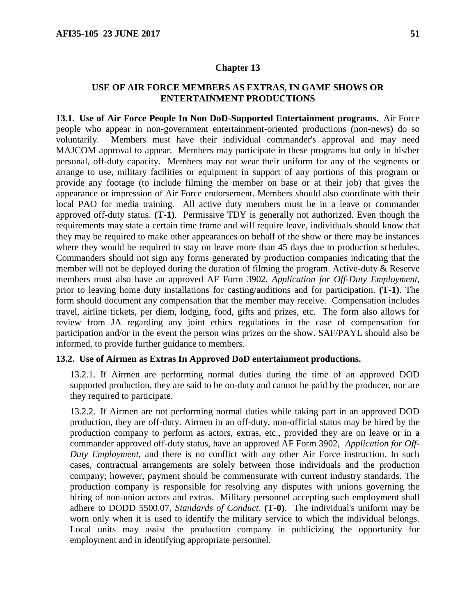## <span id="page-50-0"></span>**USE OF AIR FORCE MEMBERS AS EXTRAS, IN GAME SHOWS OR ENTERTAINMENT PRODUCTIONS**

<span id="page-50-1"></span>**13.1. Use of Air Force People In Non DoD-Supported Entertainment programs.** Air Force people who appear in non-government entertainment-oriented productions (non-news) do so voluntarily. Members must have their individual commander's approval and may need MAJCOM approval to appear. Members may participate in these programs but only in his/her personal, off-duty capacity. Members may not wear their uniform for any of the segments or arrange to use, military facilities or equipment in support of any portions of this program or provide any footage (to include filming the member on base or at their job) that gives the appearance or impression of Air Force endorsement. Members should also coordinate with their local PAO for media training. All active duty members must be in a leave or commander approved off-duty status. **(T-1)**. Permissive TDY is generally not authorized. Even though the requirements may state a certain time frame and will require leave, individuals should know that they may be required to make other appearances on behalf of the show or there may be instances where they would be required to stay on leave more than 45 days due to production schedules. Commanders should not sign any forms generated by production companies indicating that the member will not be deployed during the duration of filming the program. Active-duty & Reserve members must also have an approved AF Form 3902, *Application for Off-Duty Employment*, prior to leaving home duty installations for casting/auditions and for participation. **(T-1)**. The form should document any compensation that the member may receive. Compensation includes travel, airline tickets, per diem, lodging, food, gifts and prizes, etc. The form also allows for review from JA regarding any joint ethics regulations in the case of compensation for participation and/or in the event the person wins prizes on the show. SAF/PAYL should also be informed, to provide further guidance to members.

### <span id="page-50-2"></span>**13.2. Use of Airmen as Extras In Approved DoD entertainment productions.**

13.2.1. If Airmen are performing normal duties during the time of an approved DOD supported production, they are said to be on-duty and cannot be paid by the producer, nor are they required to participate.

13.2.2. If Airmen are not performing normal duties while taking part in an approved DOD production, they are off-duty. Airmen in an off-duty, non-official status may be hired by the production company to perform as actors, extras, etc., provided they are on leave or in a commander approved off-duty status, have an approved AF Form 3902, *Application for Off-Duty Employment,* and there is no conflict with any other Air Force instruction. In such cases, contractual arrangements are solely between those individuals and the production company; however, payment should be commensurate with current industry standards. The production company is responsible for resolving any disputes with unions governing the hiring of non-union actors and extras. Military personnel accepting such employment shall adhere to DODD 5500.07*, Standards of Conduct*. **(T-0)**. The individual's uniform may be worn only when it is used to identify the military service to which the individual belongs. Local units may assist the production company in publicizing the opportunity for employment and in identifying appropriate personnel.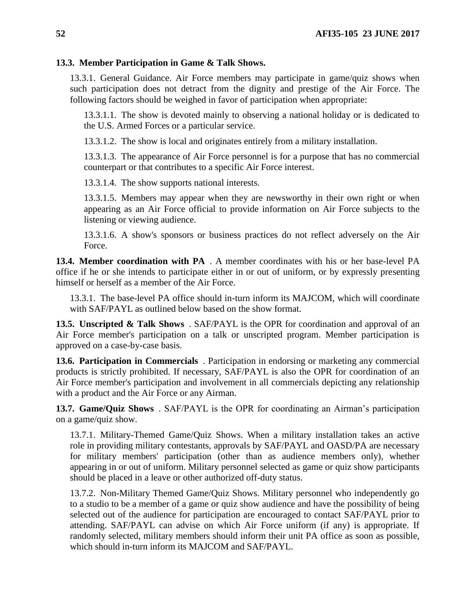## <span id="page-51-0"></span>**13.3. Member Participation in Game & Talk Shows.**

13.3.1. General Guidance. Air Force members may participate in game/quiz shows when such participation does not detract from the dignity and prestige of the Air Force. The following factors should be weighed in favor of participation when appropriate:

13.3.1.1. The show is devoted mainly to observing a national holiday or is dedicated to the U.S. Armed Forces or a particular service.

13.3.1.2. The show is local and originates entirely from a military installation.

13.3.1.3. The appearance of Air Force personnel is for a purpose that has no commercial counterpart or that contributes to a specific Air Force interest.

13.3.1.4. The show supports national interests.

13.3.1.5. Members may appear when they are newsworthy in their own right or when appearing as an Air Force official to provide information on Air Force subjects to the listening or viewing audience.

13.3.1.6. A show's sponsors or business practices do not reflect adversely on the Air Force.

<span id="page-51-1"></span>**13.4. Member coordination with PA** . A member coordinates with his or her base-level PA office if he or she intends to participate either in or out of uniform, or by expressly presenting himself or herself as a member of the Air Force.

13.3.1. The base-level PA office should in-turn inform its MAJCOM, which will coordinate with SAF/PAYL as outlined below based on the show format.

<span id="page-51-2"></span>**13.5. Unscripted & Talk Shows** . SAF/PAYL is the OPR for coordination and approval of an Air Force member's participation on a talk or unscripted program. Member participation is approved on a case-by-case basis.

<span id="page-51-3"></span>**13.6. Participation in Commercials** . Participation in endorsing or marketing any commercial products is strictly prohibited. If necessary, SAF/PAYL is also the OPR for coordination of an Air Force member's participation and involvement in all commercials depicting any relationship with a product and the Air Force or any Airman.

<span id="page-51-4"></span>**13.7. Game/Quiz Shows** . SAF/PAYL is the OPR for coordinating an Airman's participation on a game/quiz show.

13.7.1. Military-Themed Game/Quiz Shows. When a military installation takes an active role in providing military contestants, approvals by SAF/PAYL and OASD/PA are necessary for military members' participation (other than as audience members only), whether appearing in or out of uniform. Military personnel selected as game or quiz show participants should be placed in a leave or other authorized off-duty status.

13.7.2. Non-Military Themed Game/Quiz Shows. Military personnel who independently go to a studio to be a member of a game or quiz show audience and have the possibility of being selected out of the audience for participation are encouraged to contact SAF/PAYL prior to attending. SAF/PAYL can advise on which Air Force uniform (if any) is appropriate. If randomly selected, military members should inform their unit PA office as soon as possible, which should in-turn inform its MAJCOM and SAF/PAYL.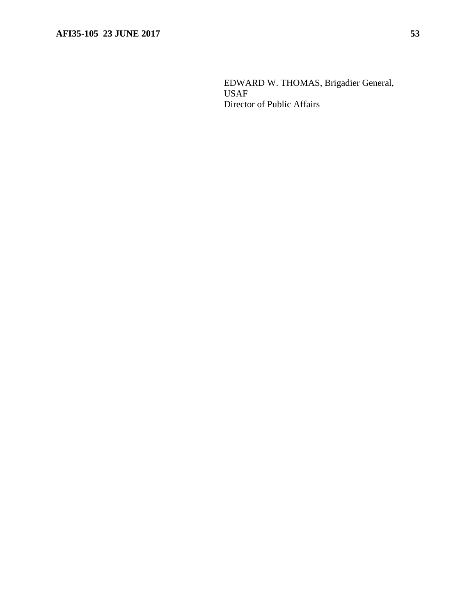EDWARD W. THOMAS, Brigadier General, USAF Director of Public Affairs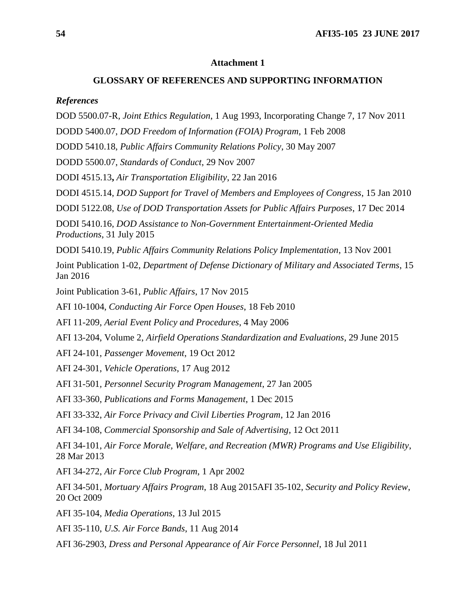### **Attachment 1**

### **GLOSSARY OF REFERENCES AND SUPPORTING INFORMATION**

#### <span id="page-53-0"></span>*References*

DOD 5500.07-R*, Joint Ethics Regulation*, 1 Aug 1993, Incorporating Change 7, 17 Nov 2011

DODD 5400.07, *DOD Freedom of Information (FOIA) Program*, 1 Feb 2008

DODD 5410.18, *Public Affairs Community Relations Policy*, 30 May 2007

DODD 5500.07, *Standards of Conduct*, 29 Nov 2007

DODI 4515.13**,** *Air Transportation Eligibility*, 22 Jan 2016

DODI 4515.14, *DOD Support for Travel of Members and Employees of Congress*, 15 Jan 2010

DODI 5122.08, *Use of DOD Transportation Assets for Public Affairs Purposes*, 17 Dec 2014

DODI 5410.16, *DOD Assistance to Non-Government Entertainment-Oriented Media Productions*, 31 July 2015

DODI 5410.19, *Public Affairs Community Relations Policy Implementation*, 13 Nov 2001

Joint Publication 1-02, *Department of Defense Dictionary of Military and Associated Terms*, 15 Jan 2016

Joint Publication 3-61, *Public Affairs*, 17 Nov 2015

AFI 10-1004, *Conducting Air Force Open Houses*, 18 Feb 2010

AFI 11-209, *Aerial Event Policy and Procedures*, 4 May 2006

AFI 13-204, Volume 2, *Airfield Operations Standardization and Evaluations*, 29 June 2015

AFI 24-101, *Passenger Movement*, 19 Oct 2012

AFI 24-301, *Vehicle Operations*, 17 Aug 2012

AFI 31-501*, Personnel Security Program Management*, 27 Jan 2005

AFI 33-360, *Publications and Forms Management*, 1 Dec 2015

AFI 33-332, *Air Force Privacy and Civil Liberties Program*, 12 Jan 2016

AFI 34-108, *Commercial Sponsorship and Sale of Advertising*, 12 Oct 2011

AFI 34-101, *Air Force Morale, Welfare, and Recreation (MWR) Programs and Use Eligibility*, 28 Mar 2013

AFI 34-272, *Air Force Club Program*, 1 Apr 2002

AFI 34-501, *Mortuary Affairs Program*, 18 Aug 2015AFI 35-102, *Security and Policy Review*, 20 Oct 2009

AFI 35-104, *Media Operations*, 13 Jul 2015

AFI 35-110, *U.S. Air Force Bands*, 11 Aug 2014

AFI 36-2903, *Dress and Personal Appearance of Air Force Personnel*, 18 Jul 2011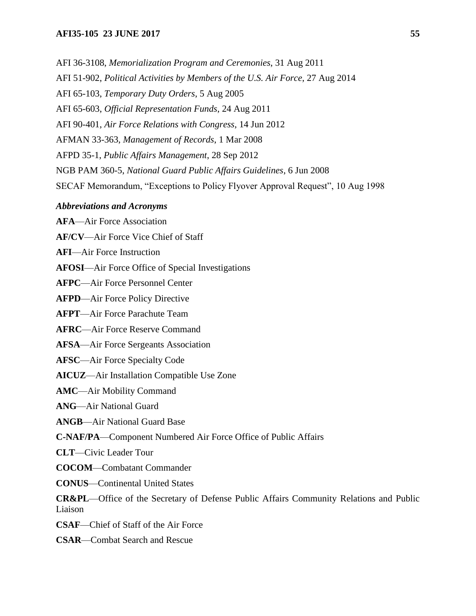### **AFI35-105 23 JUNE 2017 55**

AFI 36-3108, *Memorialization Program and Ceremonies*, 31 Aug 2011 AFI 51-902, *Political Activities by Members of the U.S. Air Force*, 27 Aug 2014 AFI 65-103, *Temporary Duty Orders*, 5 Aug 2005 AFI 65-603, *Official Representation Funds*, 24 Aug 2011 AFI 90-401, *Air Force Relations with Congress*, 14 Jun 2012 AFMAN 33-363, *Management of Records*, 1 Mar 2008 AFPD 35-1, *Public Affairs Management*, 28 Sep 2012 NGB PAM 360-5, *National Guard Public Affairs Guidelines*, 6 Jun 2008 SECAF Memorandum, "Exceptions to Policy Flyover Approval Request", 10 Aug 1998

### *Abbreviations and Acronyms*

**AFA**—Air Force Association

**AF/CV**—Air Force Vice Chief of Staff

**AFI**—Air Force Instruction

**AFOSI**—Air Force Office of Special Investigations

**AFPC**—Air Force Personnel Center

**AFPD**—Air Force Policy Directive

**AFPT**—Air Force Parachute Team

**AFRC**—Air Force Reserve Command

**AFSA**—Air Force Sergeants Association

**AFSC**—Air Force Specialty Code

**AICUZ**—Air Installation Compatible Use Zone

**AMC**—Air Mobility Command

**ANG**—Air National Guard

**ANGB**—Air National Guard Base

**C-NAF/PA**—Component Numbered Air Force Office of Public Affairs

**CLT**—Civic Leader Tour

**COCOM**—Combatant Commander

**CONUS**—Continental United States

**CR&PL**—Office of the Secretary of Defense Public Affairs Community Relations and Public Liaison

**CSAF**—Chief of Staff of the Air Force

**CSAR**—Combat Search and Rescue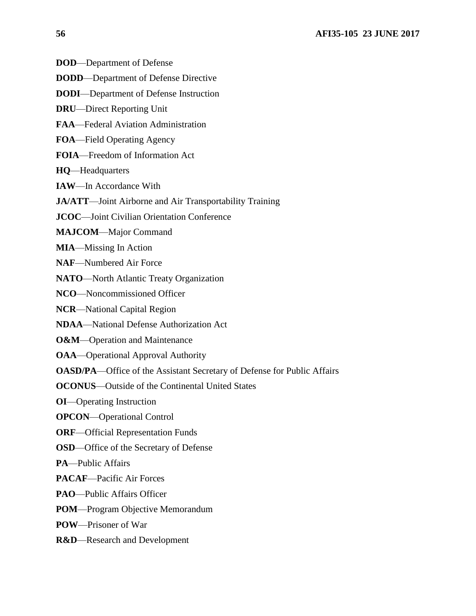- **DOD**—Department of Defense
- **DODD**—Department of Defense Directive
- **DODI**—Department of Defense Instruction
- **DRU**—Direct Reporting Unit
- **FAA**—Federal Aviation Administration
- **FOA**—Field Operating Agency
- **FOIA**—Freedom of Information Act
- **HQ**—Headquarters
- **IAW**—In Accordance With
- **JA/ATT**—Joint Airborne and Air Transportability Training
- **JCOC**—Joint Civilian Orientation Conference
- **MAJCOM**—Major Command
- **MIA**—Missing In Action
- **NAF**—Numbered Air Force
- **NATO**—North Atlantic Treaty Organization
- **NCO**—Noncommissioned Officer
- **NCR**—National Capital Region
- **NDAA**—National Defense Authorization Act
- **O&M**—Operation and Maintenance
- **OAA**—Operational Approval Authority
- **OASD/PA**—Office of the Assistant Secretary of Defense for Public Affairs
- **OCONUS**—Outside of the Continental United States
- **OI**—Operating Instruction
- **OPCON**—Operational Control
- **ORF**—Official Representation Funds
- **OSD**—Office of the Secretary of Defense
- **PA**—Public Affairs
- **PACAF**—Pacific Air Forces
- **PAO**—Public Affairs Officer
- **POM**—Program Objective Memorandum
- **POW**—Prisoner of War
- **R&D**—Research and Development